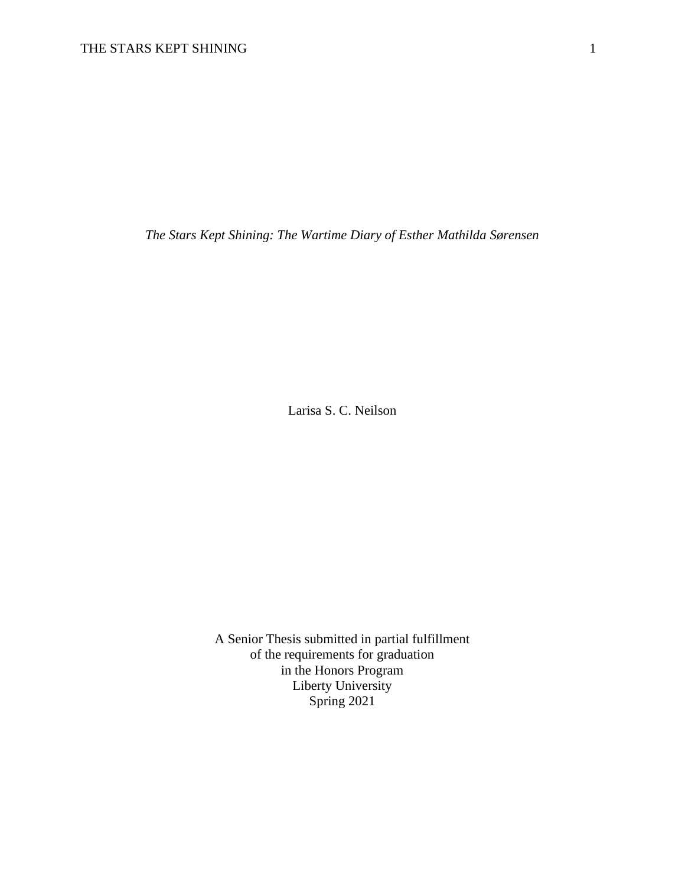*The Stars Kept Shining: The Wartime Diary of Esther Mathilda Sørensen*

Larisa S. C. Neilson

A Senior Thesis submitted in partial fulfillment of the requirements for graduation in the Honors Program Liberty University Spring 2021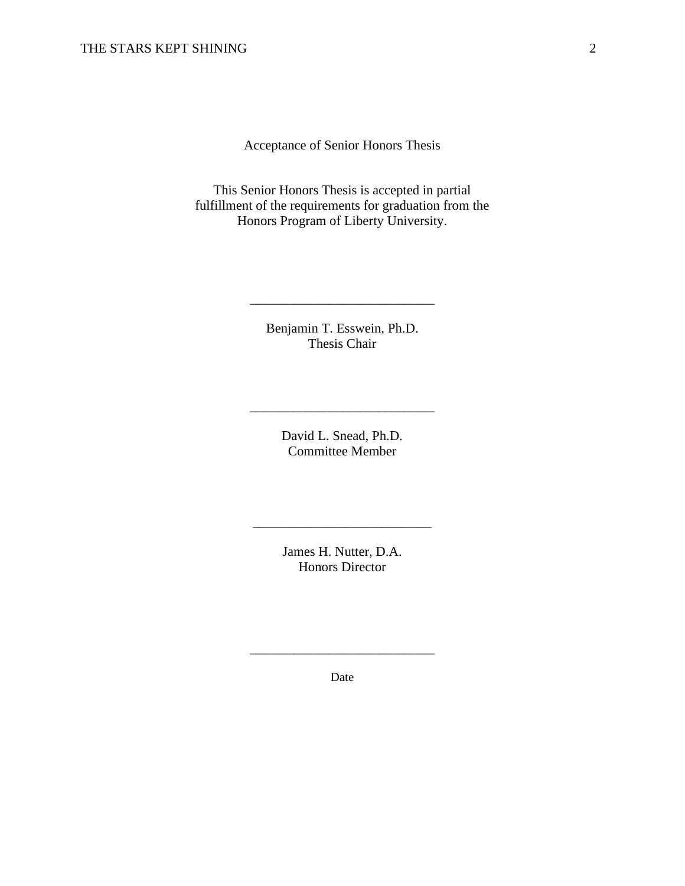Acceptance of Senior Honors Thesis

This Senior Honors Thesis is accepted in partial fulfillment of the requirements for graduation from the Honors Program of Liberty University.

> Benjamin T. Esswein, Ph.D. Thesis Chair

> > David L. Snead, Ph.D. Committee Member

\_\_\_\_\_\_\_\_\_\_\_\_\_\_\_\_\_\_\_\_\_\_\_\_\_\_\_\_\_\_

James H. Nutter, D.A. Honors Director

\_\_\_\_\_\_\_\_\_\_\_\_\_\_\_\_\_\_\_\_\_\_\_\_\_\_\_\_\_

Date

\_\_\_\_\_\_\_\_\_\_\_\_\_\_\_\_\_\_\_\_\_\_\_\_\_\_\_\_\_\_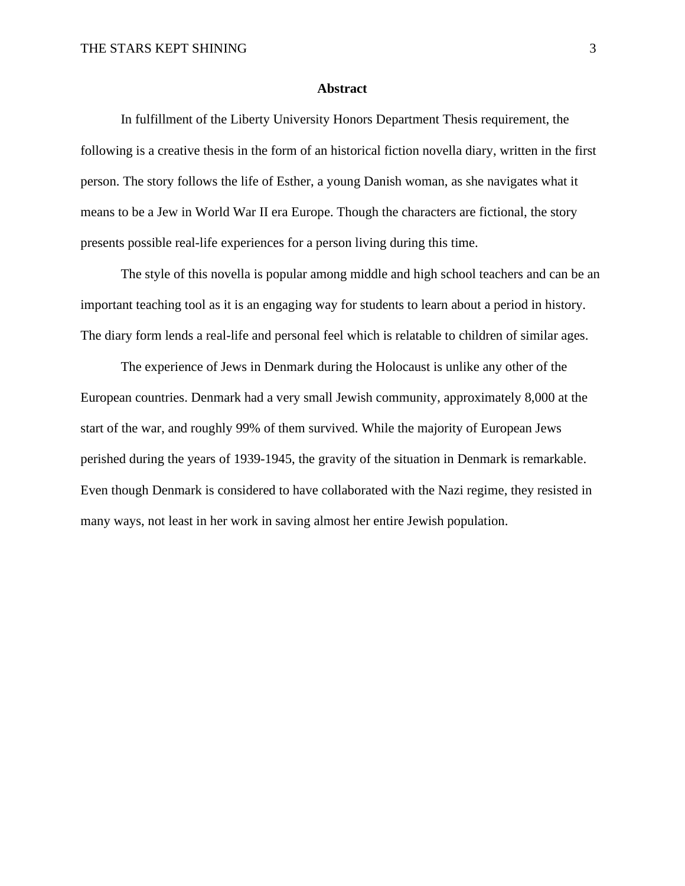## **Abstract**

In fulfillment of the Liberty University Honors Department Thesis requirement, the following is a creative thesis in the form of an historical fiction novella diary, written in the first person. The story follows the life of Esther, a young Danish woman, as she navigates what it means to be a Jew in World War II era Europe. Though the characters are fictional, the story presents possible real-life experiences for a person living during this time.

The style of this novella is popular among middle and high school teachers and can be an important teaching tool as it is an engaging way for students to learn about a period in history. The diary form lends a real-life and personal feel which is relatable to children of similar ages.

The experience of Jews in Denmark during the Holocaust is unlike any other of the European countries. Denmark had a very small Jewish community, approximately 8,000 at the start of the war, and roughly 99% of them survived. While the majority of European Jews perished during the years of 1939-1945, the gravity of the situation in Denmark is remarkable. Even though Denmark is considered to have collaborated with the Nazi regime, they resisted in many ways, not least in her work in saving almost her entire Jewish population.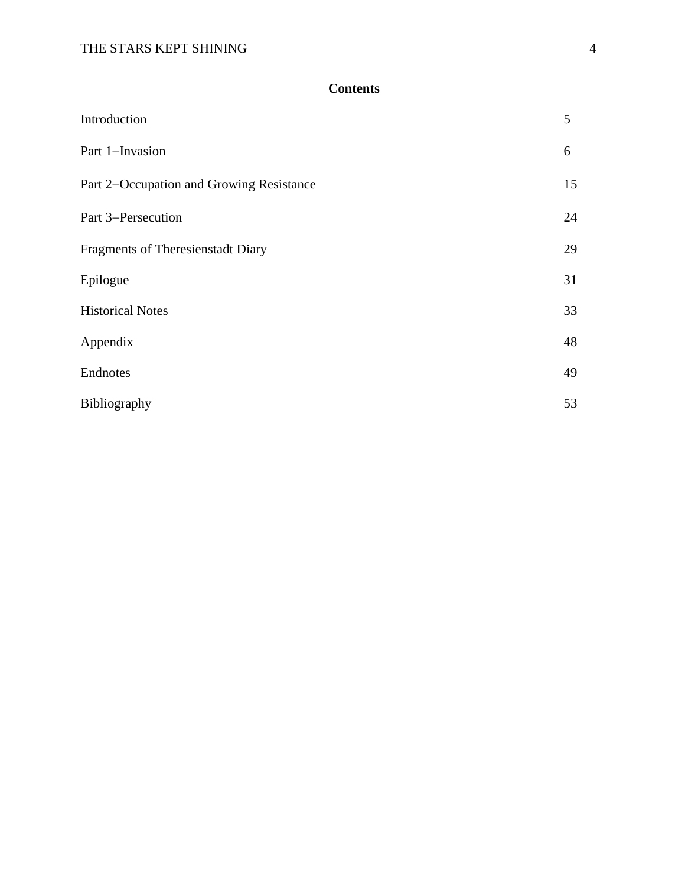## **Contents**

| Introduction                             | 5  |
|------------------------------------------|----|
| Part 1-Invasion                          | 6  |
| Part 2-Occupation and Growing Resistance | 15 |
| Part 3–Persecution                       | 24 |
| <b>Fragments of Theresienstadt Diary</b> | 29 |
| Epilogue                                 | 31 |
| <b>Historical Notes</b>                  | 33 |
| Appendix                                 | 48 |
| Endnotes                                 | 49 |
| Bibliography                             | 53 |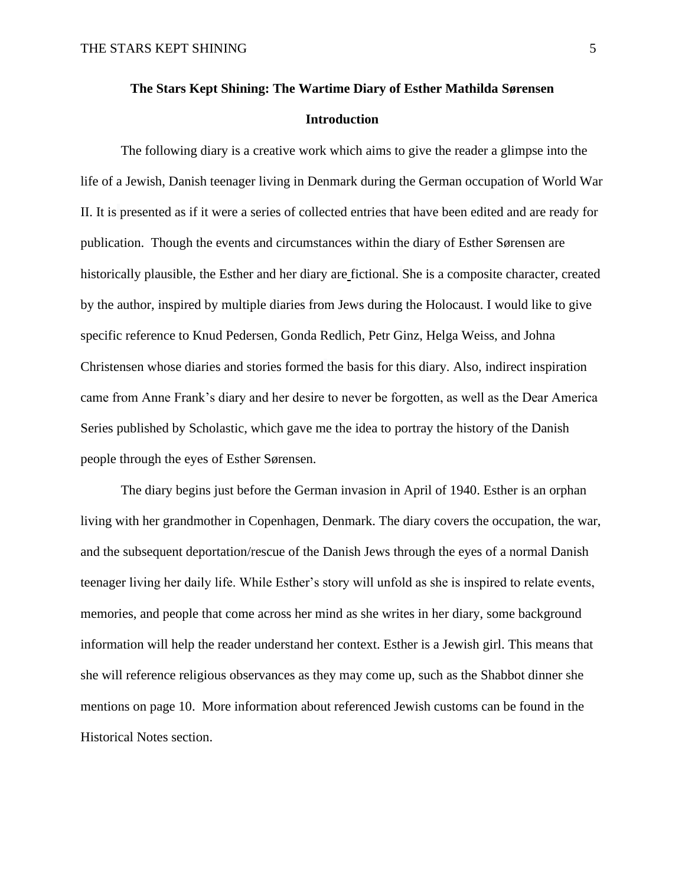# **The Stars Kept Shining: The Wartime Diary of Esther Mathilda Sørensen Introduction**

The following diary is a creative work which aims to give the reader a glimpse into the life of a Jewish, Danish teenager living in Denmark during the German occupation of World War II. It is presented as if it were a series of collected entries that have been edited and are ready for publication. Though the events and circumstances within the diary of Esther Sørensen are historically plausible, the Esther and her diary are fictional. She is a composite character, created by the author, inspired by multiple diaries from Jews during the Holocaust. I would like to give specific reference to Knud Pedersen, Gonda Redlich, Petr Ginz, Helga Weiss, and Johna Christensen whose diaries and stories formed the basis for this diary. Also, indirect inspiration came from Anne Frank's diary and her desire to never be forgotten, as well as the Dear America Series published by Scholastic, which gave me the idea to portray the history of the Danish people through the eyes of Esther Sørensen.

The diary begins just before the German invasion in April of 1940. Esther is an orphan living with her grandmother in Copenhagen, Denmark. The diary covers the occupation, the war, and the subsequent deportation/rescue of the Danish Jews through the eyes of a normal Danish teenager living her daily life. While Esther's story will unfold as she is inspired to relate events, memories, and people that come across her mind as she writes in her diary, some background information will help the reader understand her context. Esther is a Jewish girl. This means that she will reference religious observances as they may come up, such as the Shabbot dinner she mentions on page 10. More information about referenced Jewish customs can be found in the Historical Notes section.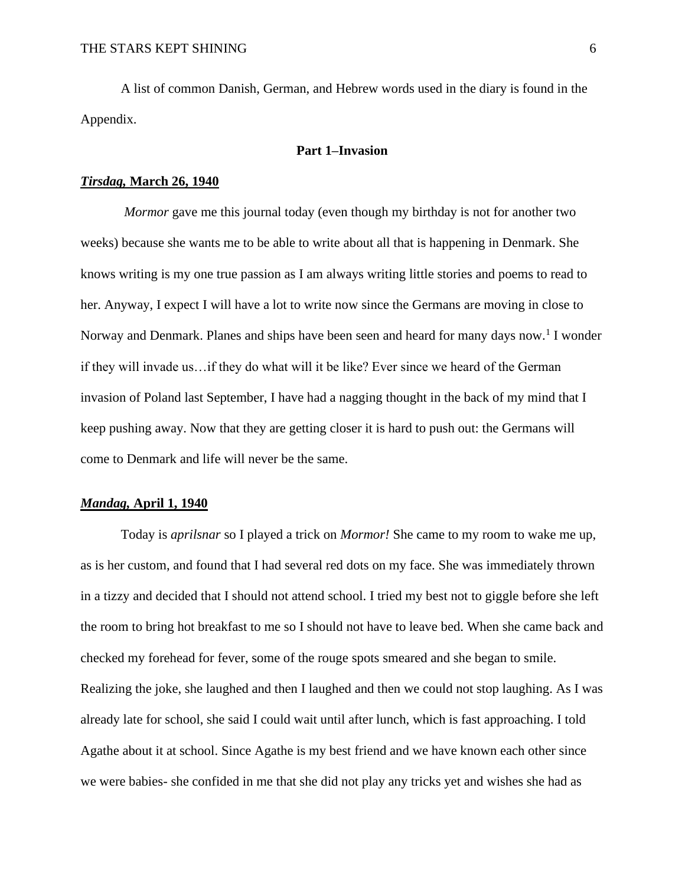A list of common Danish, German, and Hebrew words used in the diary is found in the Appendix.

## **Part 1–Invasion**

#### *Tirsdag,* **March 26, 1940**

*Mormor* gave me this journal today (even though my birthday is not for another two weeks) because she wants me to be able to write about all that is happening in Denmark. She knows writing is my one true passion as I am always writing little stories and poems to read to her. Anyway, I expect I will have a lot to write now since the Germans are moving in close to Norway and Denmark. Planes and ships have been seen and heard for many days now.<sup>1</sup> I wonder if they will invade us…if they do what will it be like? Ever since we heard of the German invasion of Poland last September, I have had a nagging thought in the back of my mind that I keep pushing away. Now that they are getting closer it is hard to push out: the Germans will come to Denmark and life will never be the same.

## *Mandag,* **April 1, 1940**

Today is *aprilsnar* so I played a trick on *Mormor!* She came to my room to wake me up, as is her custom, and found that I had several red dots on my face. She was immediately thrown in a tizzy and decided that I should not attend school. I tried my best not to giggle before she left the room to bring hot breakfast to me so I should not have to leave bed. When she came back and checked my forehead for fever, some of the rouge spots smeared and she began to smile. Realizing the joke, she laughed and then I laughed and then we could not stop laughing. As I was already late for school, she said I could wait until after lunch, which is fast approaching. I told Agathe about it at school. Since Agathe is my best friend and we have known each other since we were babies- she confided in me that she did not play any tricks yet and wishes she had as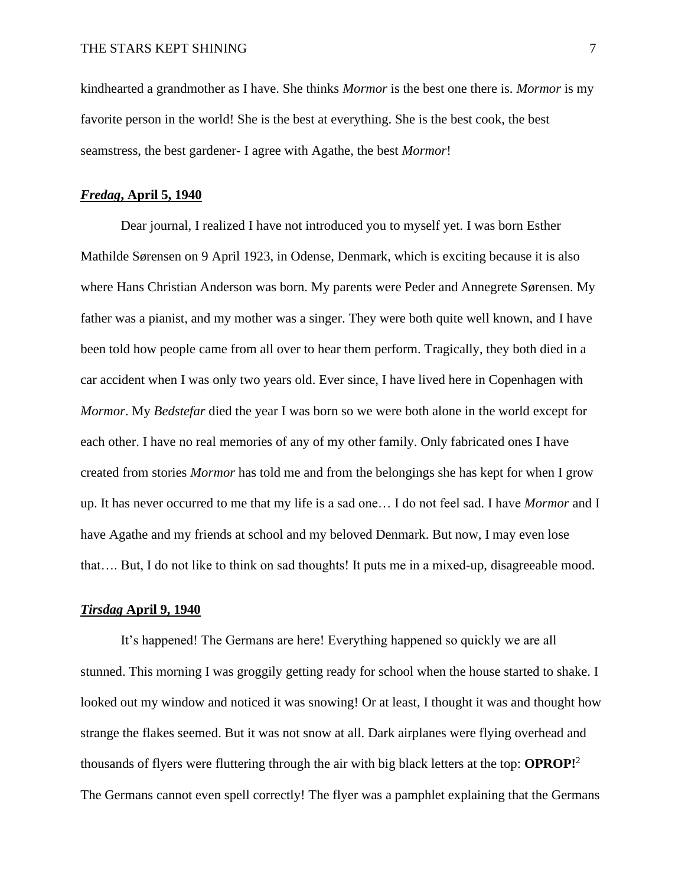kindhearted a grandmother as I have. She thinks *Mormor* is the best one there is. *Mormor* is my favorite person in the world! She is the best at everything. She is the best cook, the best seamstress, the best gardener- I agree with Agathe, the best *Mormor*!

#### *Fredag***, April 5, 1940**

Dear journal, I realized I have not introduced you to myself yet. I was born Esther Mathilde Sørensen on 9 April 1923, in Odense, Denmark, which is exciting because it is also where Hans Christian Anderson was born. My parents were Peder and Annegrete Sørensen. My father was a pianist, and my mother was a singer. They were both quite well known, and I have been told how people came from all over to hear them perform. Tragically, they both died in a car accident when I was only two years old. Ever since, I have lived here in Copenhagen with *Mormor*. My *Bedstefar* died the year I was born so we were both alone in the world except for each other. I have no real memories of any of my other family. Only fabricated ones I have created from stories *Mormor* has told me and from the belongings she has kept for when I grow up. It has never occurred to me that my life is a sad one… I do not feel sad. I have *Mormor* and I have Agathe and my friends at school and my beloved Denmark. But now, I may even lose that…. But, I do not like to think on sad thoughts! It puts me in a mixed-up, disagreeable mood.

## *Tirsdag* **April 9, 1940**

It's happened! The Germans are here! Everything happened so quickly we are all stunned. This morning I was groggily getting ready for school when the house started to shake. I looked out my window and noticed it was snowing! Or at least, I thought it was and thought how strange the flakes seemed. But it was not snow at all. Dark airplanes were flying overhead and thousands of flyers were fluttering through the air with big black letters at the top: **OPROP!**<sup>2</sup> The Germans cannot even spell correctly! The flyer was a pamphlet explaining that the Germans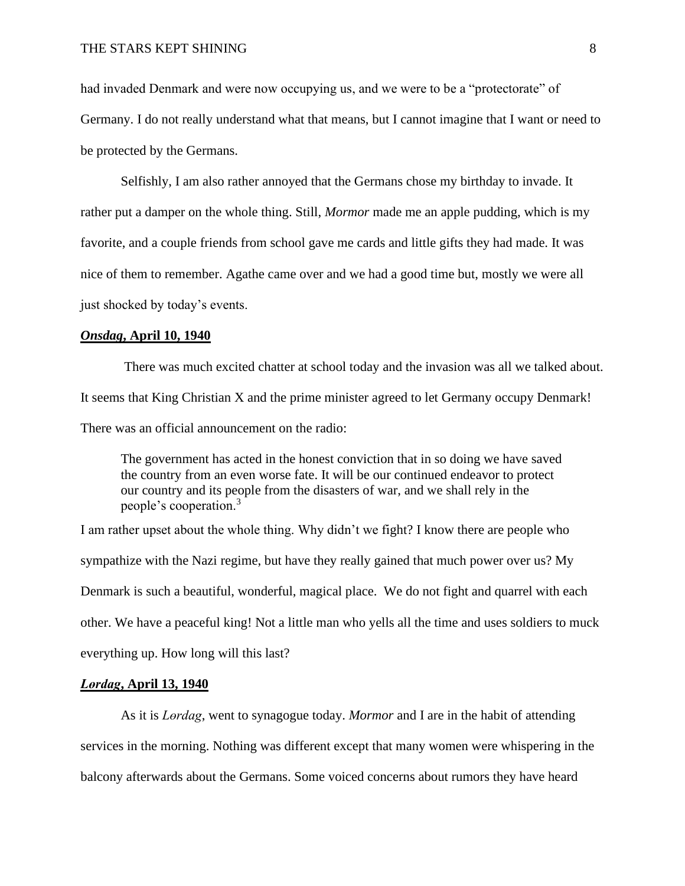had invaded Denmark and were now occupying us, and we were to be a "protectorate" of Germany. I do not really understand what that means, but I cannot imagine that I want or need to be protected by the Germans.

Selfishly, I am also rather annoyed that the Germans chose my birthday to invade. It rather put a damper on the whole thing. Still, *Mormor* made me an apple pudding, which is my favorite, and a couple friends from school gave me cards and little gifts they had made. It was nice of them to remember. Agathe came over and we had a good time but, mostly we were all just shocked by today's events.

#### *Onsdag***, April 10, 1940**

There was much excited chatter at school today and the invasion was all we talked about. It seems that King Christian X and the prime minister agreed to let Germany occupy Denmark! There was an official announcement on the radio:

The government has acted in the honest conviction that in so doing we have saved the country from an even worse fate. It will be our continued endeavor to protect our country and its people from the disasters of war, and we shall rely in the people's cooperation.<sup>3</sup>

I am rather upset about the whole thing. Why didn't we fight? I know there are people who sympathize with the Nazi regime, but have they really gained that much power over us? My Denmark is such a beautiful, wonderful, magical place. We do not fight and quarrel with each other. We have a peaceful king! Not a little man who yells all the time and uses soldiers to muck everything up. How long will this last?

## *Lөrdag***, April 13, 1940**

As it is *Lөrdag*, went to synagogue today. *Mormor* and I are in the habit of attending services in the morning. Nothing was different except that many women were whispering in the balcony afterwards about the Germans. Some voiced concerns about rumors they have heard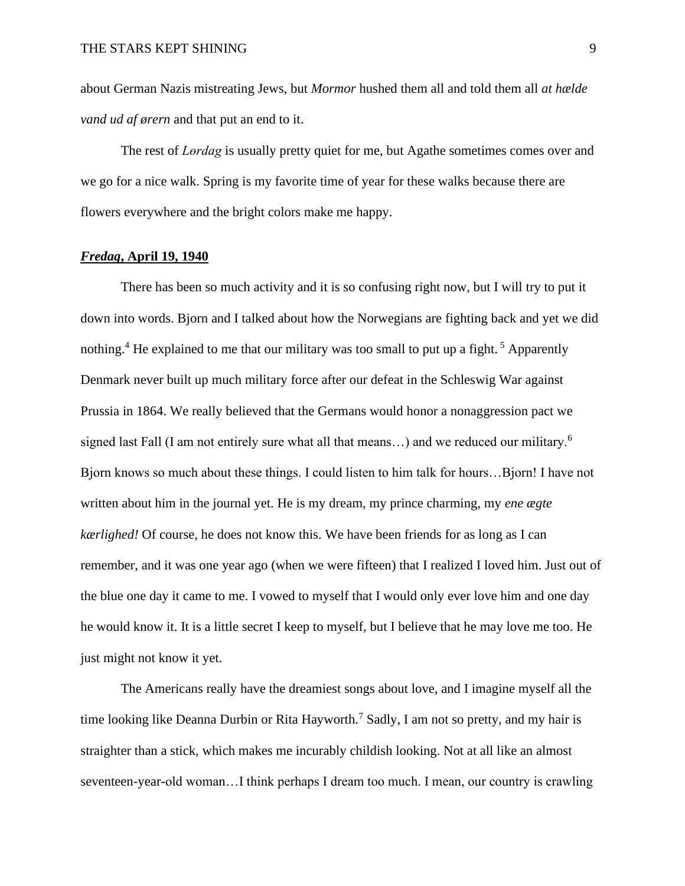about German Nazis mistreating Jews, but *Mormor* hushed them all and told them all *at hælde vand ud af ørern* and that put an end to it.

The rest of *Lөrdag* is usually pretty quiet for me, but Agathe sometimes comes over and we go for a nice walk. Spring is my favorite time of year for these walks because there are flowers everywhere and the bright colors make me happy.

## *Fredag***, April 19, 1940**

There has been so much activity and it is so confusing right now, but I will try to put it down into words. Bjorn and I talked about how the Norwegians are fighting back and yet we did nothing.<sup>4</sup> He explained to me that our military was too small to put up a fight.<sup>5</sup> Apparently Denmark never built up much military force after our defeat in the Schleswig War against Prussia in 1864. We really believed that the Germans would honor a nonaggression pact we signed last Fall (I am not entirely sure what all that means...) and we reduced our military.<sup>6</sup> Bjorn knows so much about these things. I could listen to him talk for hours…Bjorn! I have not written about him in the journal yet. He is my dream, my prince charming, my *ene ægte kærlighed!* Of course, he does not know this. We have been friends for as long as I can remember, and it was one year ago (when we were fifteen) that I realized I loved him. Just out of the blue one day it came to me. I vowed to myself that I would only ever love him and one day he would know it. It is a little secret I keep to myself, but I believe that he may love me too. He just might not know it yet.

The Americans really have the dreamiest songs about love, and I imagine myself all the time looking like Deanna Durbin or Rita Hayworth.<sup>7</sup> Sadly, I am not so pretty, and my hair is straighter than a stick, which makes me incurably childish looking. Not at all like an almost seventeen-year-old woman…I think perhaps I dream too much. I mean, our country is crawling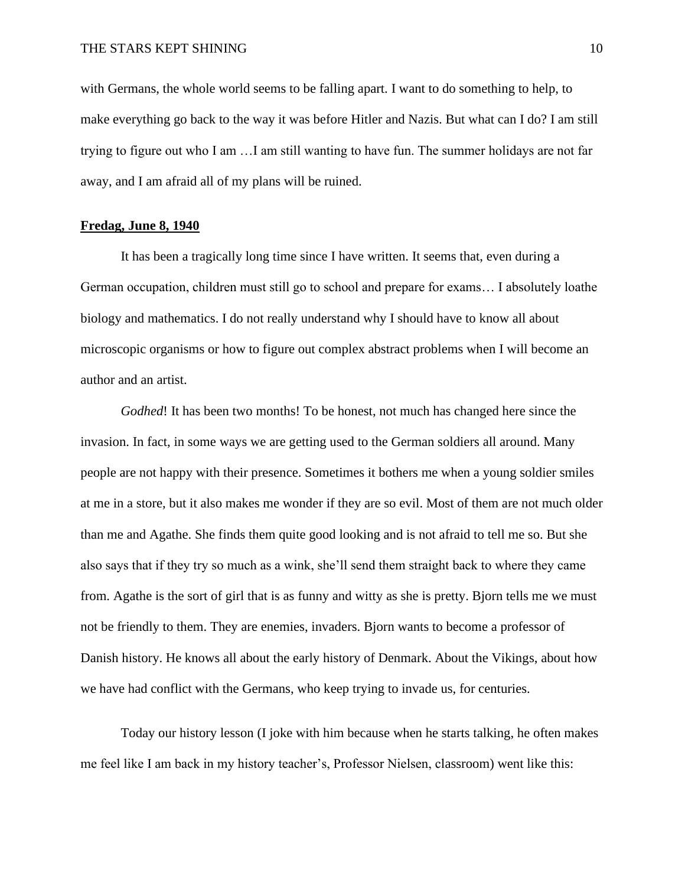with Germans, the whole world seems to be falling apart. I want to do something to help, to make everything go back to the way it was before Hitler and Nazis. But what can I do? I am still trying to figure out who I am …I am still wanting to have fun. The summer holidays are not far away, and I am afraid all of my plans will be ruined.

#### **Fredag, June 8, 1940**

It has been a tragically long time since I have written. It seems that, even during a German occupation, children must still go to school and prepare for exams… I absolutely loathe biology and mathematics. I do not really understand why I should have to know all about microscopic organisms or how to figure out complex abstract problems when I will become an author and an artist.

*Godhed*! It has been two months! To be honest, not much has changed here since the invasion. In fact, in some ways we are getting used to the German soldiers all around. Many people are not happy with their presence. Sometimes it bothers me when a young soldier smiles at me in a store, but it also makes me wonder if they are so evil. Most of them are not much older than me and Agathe. She finds them quite good looking and is not afraid to tell me so. But she also says that if they try so much as a wink, she'll send them straight back to where they came from. Agathe is the sort of girl that is as funny and witty as she is pretty. Bjorn tells me we must not be friendly to them. They are enemies, invaders. Bjorn wants to become a professor of Danish history. He knows all about the early history of Denmark. About the Vikings, about how we have had conflict with the Germans, who keep trying to invade us, for centuries.

Today our history lesson (I joke with him because when he starts talking, he often makes me feel like I am back in my history teacher's, Professor Nielsen, classroom) went like this: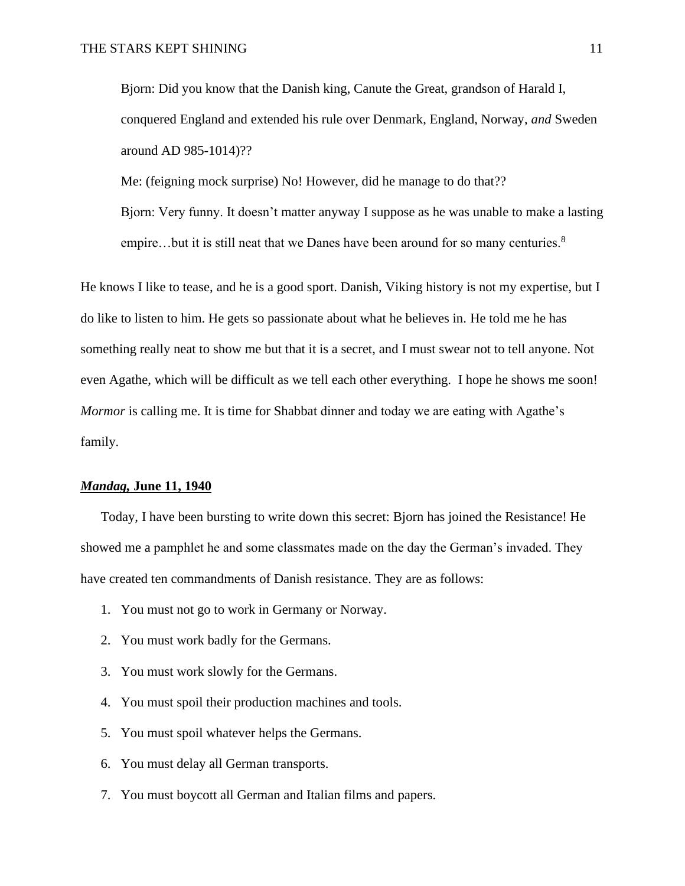Bjorn: Did you know that the Danish king, Canute the Great, grandson of Harald I, conquered England and extended his rule over Denmark, England, Norway, *and* Sweden around AD 985-1014)??

Me: (feigning mock surprise) No! However, did he manage to do that?? Bjorn: Very funny. It doesn't matter anyway I suppose as he was unable to make a lasting empire…but it is still neat that we Danes have been around for so many centuries.<sup>8</sup>

He knows I like to tease, and he is a good sport. Danish, Viking history is not my expertise, but I do like to listen to him. He gets so passionate about what he believes in. He told me he has something really neat to show me but that it is a secret, and I must swear not to tell anyone. Not even Agathe, which will be difficult as we tell each other everything. I hope he shows me soon! *Mormor* is calling me. It is time for Shabbat dinner and today we are eating with Agathe's family.

## *Mandag,* **June 11, 1940**

Today, I have been bursting to write down this secret: Bjorn has joined the Resistance! He showed me a pamphlet he and some classmates made on the day the German's invaded. They have created ten commandments of Danish resistance. They are as follows:

- 1. You must not go to work in Germany or Norway.
- 2. You must work badly for the Germans.
- 3. You must work slowly for the Germans.
- 4. You must spoil their production machines and tools.
- 5. You must spoil whatever helps the Germans.
- 6. You must delay all German transports.
- 7. You must boycott all German and Italian films and papers.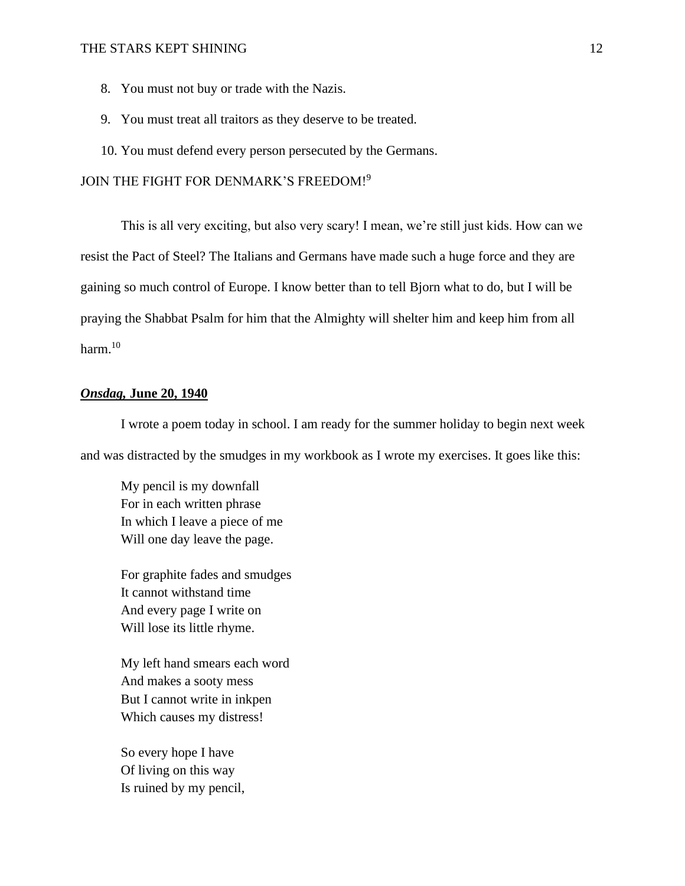- 8. You must not buy or trade with the Nazis.
- 9. You must treat all traitors as they deserve to be treated.
- 10. You must defend every person persecuted by the Germans.

JOIN THE FIGHT FOR DENMARK'S FREEDOM!<sup>9</sup>

This is all very exciting, but also very scary! I mean, we're still just kids. How can we resist the Pact of Steel? The Italians and Germans have made such a huge force and they are gaining so much control of Europe. I know better than to tell Bjorn what to do, but I will be praying the Shabbat Psalm for him that the Almighty will shelter him and keep him from all harm.<sup>10</sup>

## *Onsdag,* **June 20, 1940**

I wrote a poem today in school. I am ready for the summer holiday to begin next week and was distracted by the smudges in my workbook as I wrote my exercises. It goes like this:

My pencil is my downfall For in each written phrase In which I leave a piece of me Will one day leave the page.

For graphite fades and smudges It cannot withstand time And every page I write on Will lose its little rhyme.

My left hand smears each word And makes a sooty mess But I cannot write in inkpen Which causes my distress!

So every hope I have Of living on this way Is ruined by my pencil,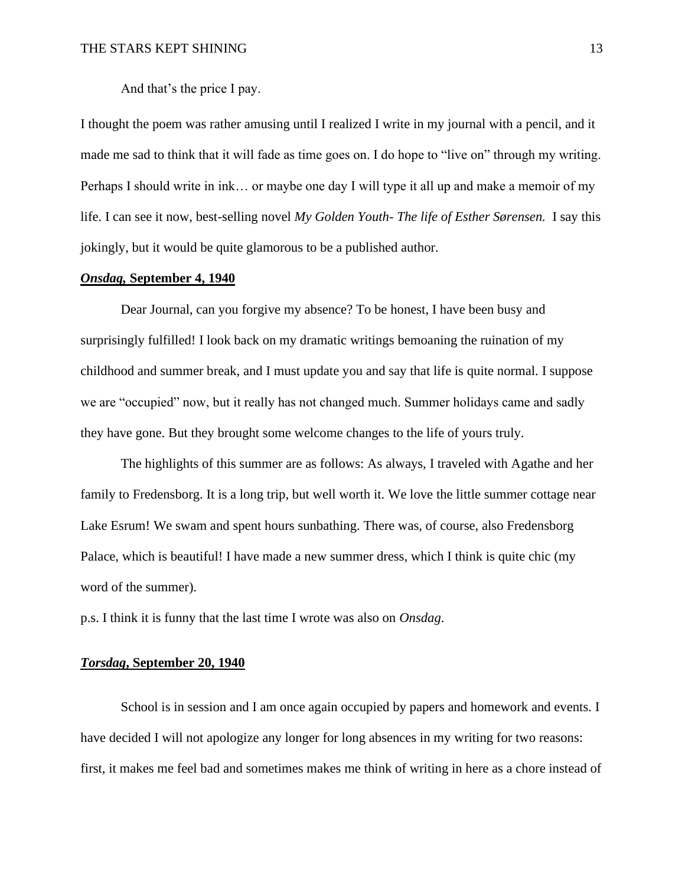And that's the price I pay.

I thought the poem was rather amusing until I realized I write in my journal with a pencil, and it made me sad to think that it will fade as time goes on. I do hope to "live on" through my writing. Perhaps I should write in ink… or maybe one day I will type it all up and make a memoir of my life. I can see it now, best-selling novel *My Golden Youth- The life of Esther Sørensen.* I say this jokingly, but it would be quite glamorous to be a published author.

## *Onsdag,* **September 4, 1940**

Dear Journal, can you forgive my absence? To be honest, I have been busy and surprisingly fulfilled! I look back on my dramatic writings bemoaning the ruination of my childhood and summer break, and I must update you and say that life is quite normal. I suppose we are "occupied" now, but it really has not changed much. Summer holidays came and sadly they have gone. But they brought some welcome changes to the life of yours truly.

The highlights of this summer are as follows: As always, I traveled with Agathe and her family to Fredensborg. It is a long trip, but well worth it. We love the little summer cottage near Lake Esrum! We swam and spent hours sunbathing. There was, of course, also Fredensborg Palace, which is beautiful! I have made a new summer dress, which I think is quite chic (my word of the summer).

p.s. I think it is funny that the last time I wrote was also on *Onsdag*.

## *Torsdag***, September 20, 1940**

School is in session and I am once again occupied by papers and homework and events. I have decided I will not apologize any longer for long absences in my writing for two reasons: first, it makes me feel bad and sometimes makes me think of writing in here as a chore instead of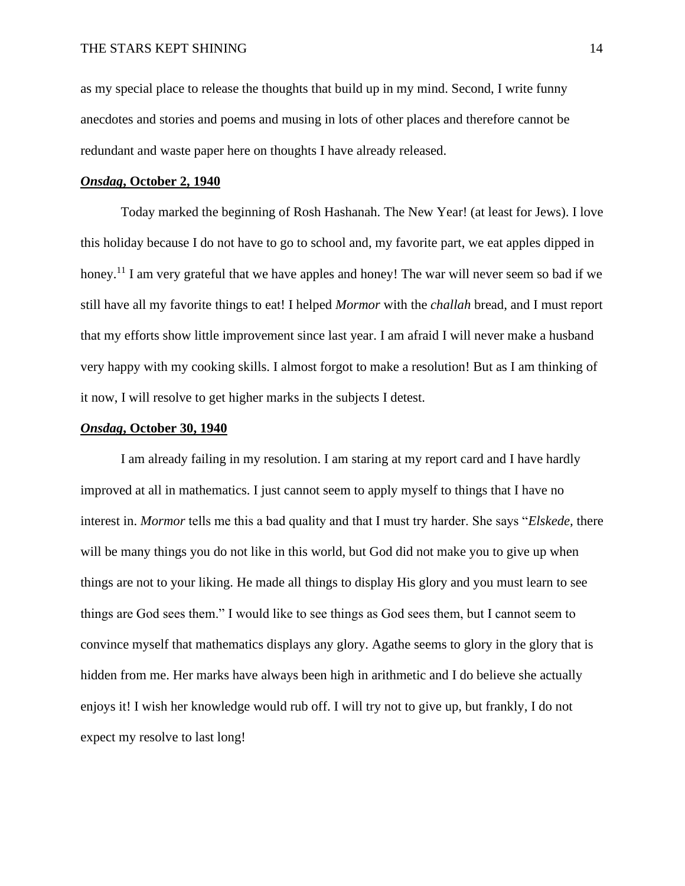as my special place to release the thoughts that build up in my mind. Second, I write funny anecdotes and stories and poems and musing in lots of other places and therefore cannot be redundant and waste paper here on thoughts I have already released.

## *Onsdag***, October 2, 1940**

Today marked the beginning of Rosh Hashanah. The New Year! (at least for Jews). I love this holiday because I do not have to go to school and, my favorite part, we eat apples dipped in honey.<sup>11</sup> I am very grateful that we have apples and honey! The war will never seem so bad if we still have all my favorite things to eat! I helped *Mormor* with the *challah* bread, and I must report that my efforts show little improvement since last year. I am afraid I will never make a husband very happy with my cooking skills. I almost forgot to make a resolution! But as I am thinking of it now, I will resolve to get higher marks in the subjects I detest.

## *Onsdag***, October 30, 1940**

I am already failing in my resolution. I am staring at my report card and I have hardly improved at all in mathematics. I just cannot seem to apply myself to things that I have no interest in. *Mormor* tells me this a bad quality and that I must try harder. She says "*Elskede,* there will be many things you do not like in this world, but God did not make you to give up when things are not to your liking. He made all things to display His glory and you must learn to see things are God sees them." I would like to see things as God sees them, but I cannot seem to convince myself that mathematics displays any glory. Agathe seems to glory in the glory that is hidden from me. Her marks have always been high in arithmetic and I do believe she actually enjoys it! I wish her knowledge would rub off. I will try not to give up, but frankly, I do not expect my resolve to last long!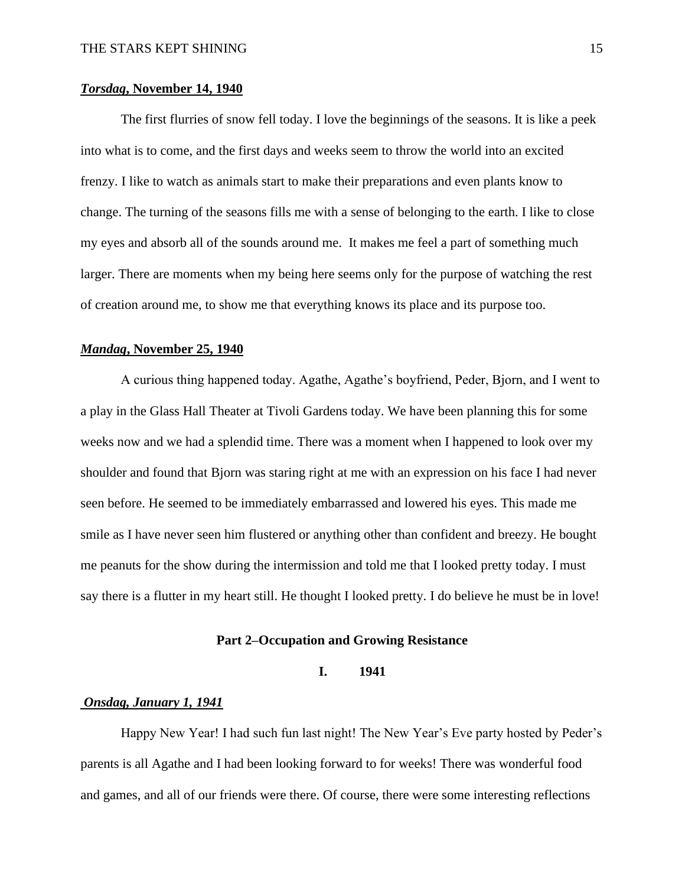## *Torsdag***, November 14, 1940**

The first flurries of snow fell today. I love the beginnings of the seasons. It is like a peek into what is to come, and the first days and weeks seem to throw the world into an excited frenzy. I like to watch as animals start to make their preparations and even plants know to change. The turning of the seasons fills me with a sense of belonging to the earth. I like to close my eyes and absorb all of the sounds around me. It makes me feel a part of something much larger. There are moments when my being here seems only for the purpose of watching the rest of creation around me, to show me that everything knows its place and its purpose too.

#### *Mandag***, November 25, 1940**

A curious thing happened today. Agathe, Agathe's boyfriend, Peder, Bjorn, and I went to a play in the Glass Hall Theater at Tivoli Gardens today. We have been planning this for some weeks now and we had a splendid time. There was a moment when I happened to look over my shoulder and found that Bjorn was staring right at me with an expression on his face I had never seen before. He seemed to be immediately embarrassed and lowered his eyes. This made me smile as I have never seen him flustered or anything other than confident and breezy. He bought me peanuts for the show during the intermission and told me that I looked pretty today. I must say there is a flutter in my heart still. He thought I looked pretty. I do believe he must be in love!

## **Part 2–Occupation and Growing Resistance**

## **I. 1941**

## *Onsdag, January 1, 1941*

Happy New Year! I had such fun last night! The New Year's Eve party hosted by Peder's parents is all Agathe and I had been looking forward to for weeks! There was wonderful food and games, and all of our friends were there. Of course, there were some interesting reflections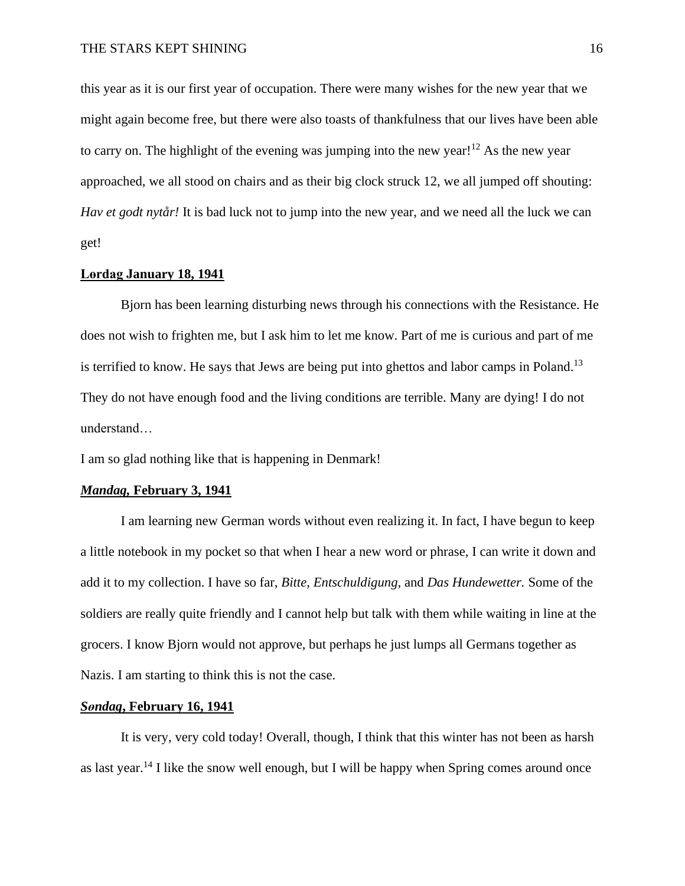this year as it is our first year of occupation. There were many wishes for the new year that we might again become free, but there were also toasts of thankfulness that our lives have been able to carry on. The highlight of the evening was jumping into the new year!<sup>12</sup> As the new year approached, we all stood on chairs and as their big clock struck 12, we all jumped off shouting: *Hav et godt nytår!* It is bad luck not to jump into the new year, and we need all the luck we can get!

## **Lөrdag January 18, 1941**

Bjorn has been learning disturbing news through his connections with the Resistance. He does not wish to frighten me, but I ask him to let me know. Part of me is curious and part of me is terrified to know. He says that Jews are being put into ghettos and labor camps in Poland.<sup>13</sup> They do not have enough food and the living conditions are terrible. Many are dying! I do not understand…

I am so glad nothing like that is happening in Denmark!

#### *Mandag,* **February 3, 1941**

I am learning new German words without even realizing it. In fact, I have begun to keep a little notebook in my pocket so that when I hear a new word or phrase, I can write it down and add it to my collection. I have so far, *Bitte, Entschuldigung,* and *Das Hundewetter.* Some of the soldiers are really quite friendly and I cannot help but talk with them while waiting in line at the grocers. I know Bjorn would not approve, but perhaps he just lumps all Germans together as Nazis. I am starting to think this is not the case.

## *Sөndag***, February 16, 1941**

It is very, very cold today! Overall, though, I think that this winter has not been as harsh as last year.<sup>14</sup> I like the snow well enough, but I will be happy when Spring comes around once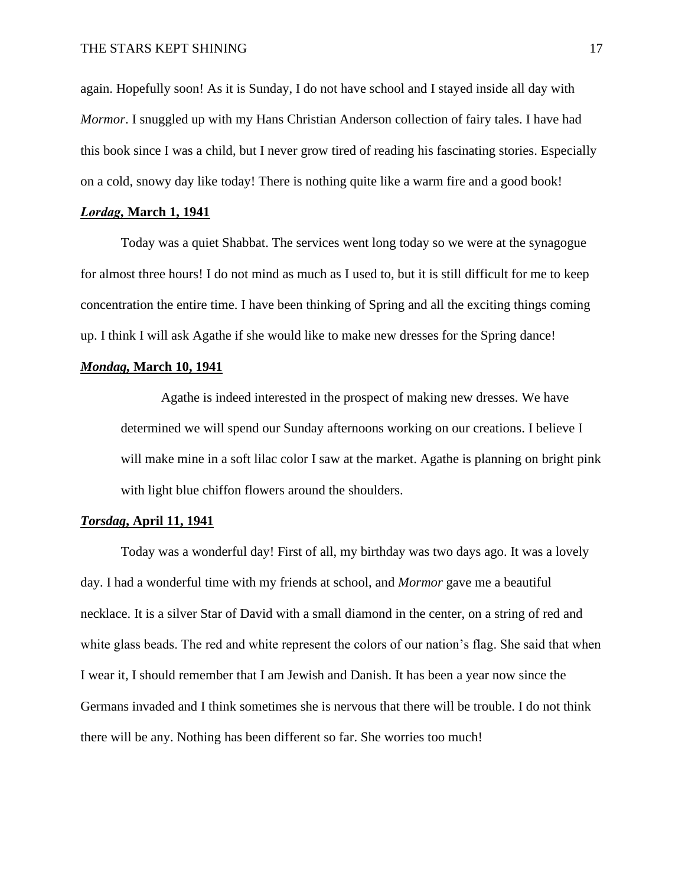again. Hopefully soon! As it is Sunday, I do not have school and I stayed inside all day with *Mormor*. I snuggled up with my Hans Christian Anderson collection of fairy tales. I have had this book since I was a child, but I never grow tired of reading his fascinating stories. Especially on a cold, snowy day like today! There is nothing quite like a warm fire and a good book!

## *Lөrdag,* **March 1, 1941**

Today was a quiet Shabbat. The services went long today so we were at the synagogue for almost three hours! I do not mind as much as I used to, but it is still difficult for me to keep concentration the entire time. I have been thinking of Spring and all the exciting things coming up. I think I will ask Agathe if she would like to make new dresses for the Spring dance!

## *Mondag,* **March 10, 1941**

Agathe is indeed interested in the prospect of making new dresses. We have determined we will spend our Sunday afternoons working on our creations. I believe I will make mine in a soft lilac color I saw at the market. Agathe is planning on bright pink with light blue chiffon flowers around the shoulders.

#### *Torsdag***, April 11, 1941**

Today was a wonderful day! First of all, my birthday was two days ago. It was a lovely day. I had a wonderful time with my friends at school, and *Mormor* gave me a beautiful necklace. It is a silver Star of David with a small diamond in the center, on a string of red and white glass beads. The red and white represent the colors of our nation's flag. She said that when I wear it, I should remember that I am Jewish and Danish. It has been a year now since the Germans invaded and I think sometimes she is nervous that there will be trouble. I do not think there will be any. Nothing has been different so far. She worries too much!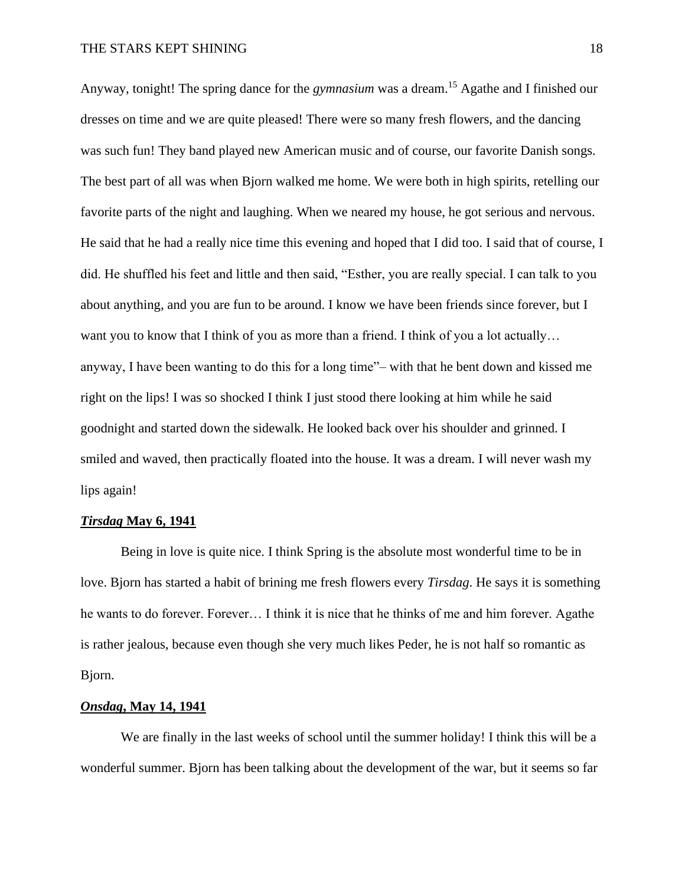## THE STARS KEPT SHINING 18

Anyway, tonight! The spring dance for the *gymnasium* was a dream.<sup>15</sup> Agathe and I finished our dresses on time and we are quite pleased! There were so many fresh flowers, and the dancing was such fun! They band played new American music and of course, our favorite Danish songs. The best part of all was when Bjorn walked me home. We were both in high spirits, retelling our favorite parts of the night and laughing. When we neared my house, he got serious and nervous. He said that he had a really nice time this evening and hoped that I did too. I said that of course, I did. He shuffled his feet and little and then said, "Esther, you are really special. I can talk to you about anything, and you are fun to be around. I know we have been friends since forever, but I want you to know that I think of you as more than a friend. I think of you a lot actually... anyway, I have been wanting to do this for a long time"– with that he bent down and kissed me right on the lips! I was so shocked I think I just stood there looking at him while he said goodnight and started down the sidewalk. He looked back over his shoulder and grinned. I smiled and waved, then practically floated into the house. It was a dream. I will never wash my lips again!

## *Tirsdag* **May 6, 1941**

Being in love is quite nice. I think Spring is the absolute most wonderful time to be in love. Bjorn has started a habit of brining me fresh flowers every *Tirsdag*. He says it is something he wants to do forever. Forever… I think it is nice that he thinks of me and him forever. Agathe is rather jealous, because even though she very much likes Peder, he is not half so romantic as Bjorn.

## *Onsdag***, May 14, 1941**

We are finally in the last weeks of school until the summer holiday! I think this will be a wonderful summer. Bjorn has been talking about the development of the war, but it seems so far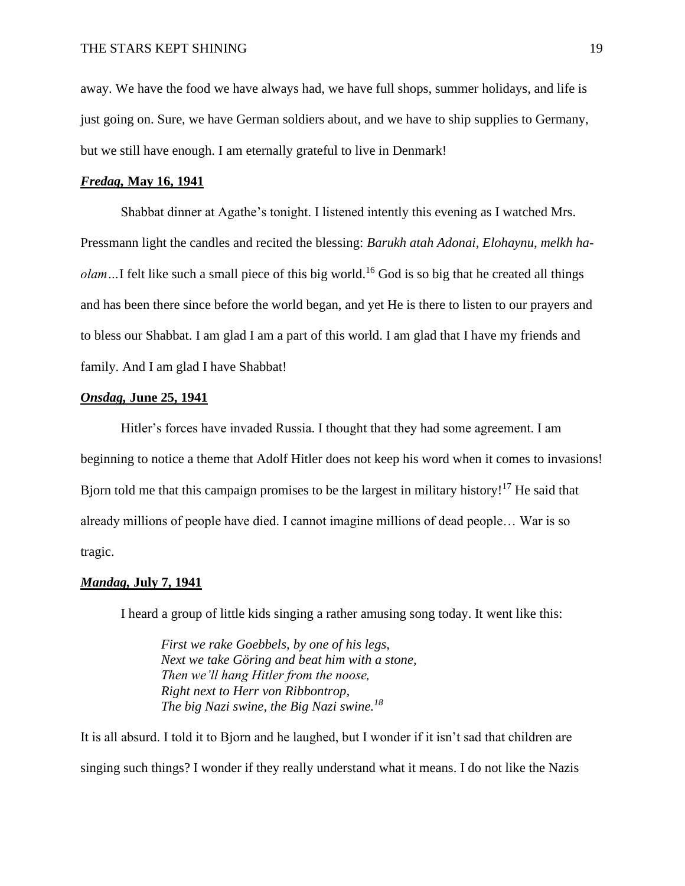away. We have the food we have always had, we have full shops, summer holidays, and life is just going on. Sure, we have German soldiers about, and we have to ship supplies to Germany, but we still have enough. I am eternally grateful to live in Denmark!

## *Fredag,* **May 16, 1941**

Shabbat dinner at Agathe's tonight. I listened intently this evening as I watched Mrs. Pressmann light the candles and recited the blessing: *Barukh atah Adonai, Elohaynu, melkh haolam*...I felt like such a small piece of this big world.<sup>16</sup> God is so big that he created all things and has been there since before the world began, and yet He is there to listen to our prayers and to bless our Shabbat. I am glad I am a part of this world. I am glad that I have my friends and family. And I am glad I have Shabbat!

## *Onsdag,* **June 25, 1941**

Hitler's forces have invaded Russia. I thought that they had some agreement. I am beginning to notice a theme that Adolf Hitler does not keep his word when it comes to invasions! Bjorn told me that this campaign promises to be the largest in military history!<sup>17</sup> He said that already millions of people have died. I cannot imagine millions of dead people… War is so tragic.

## *Mandag,* **July 7, 1941**

I heard a group of little kids singing a rather amusing song today. It went like this:

*First we rake Goebbels, by one of his legs, Next we take Göring and beat him with a stone, Then we'll hang Hitler from the noose, Right next to Herr von Ribbontrop, The big Nazi swine, the Big Nazi swine.<sup>18</sup>*

It is all absurd. I told it to Bjorn and he laughed, but I wonder if it isn't sad that children are singing such things? I wonder if they really understand what it means. I do not like the Nazis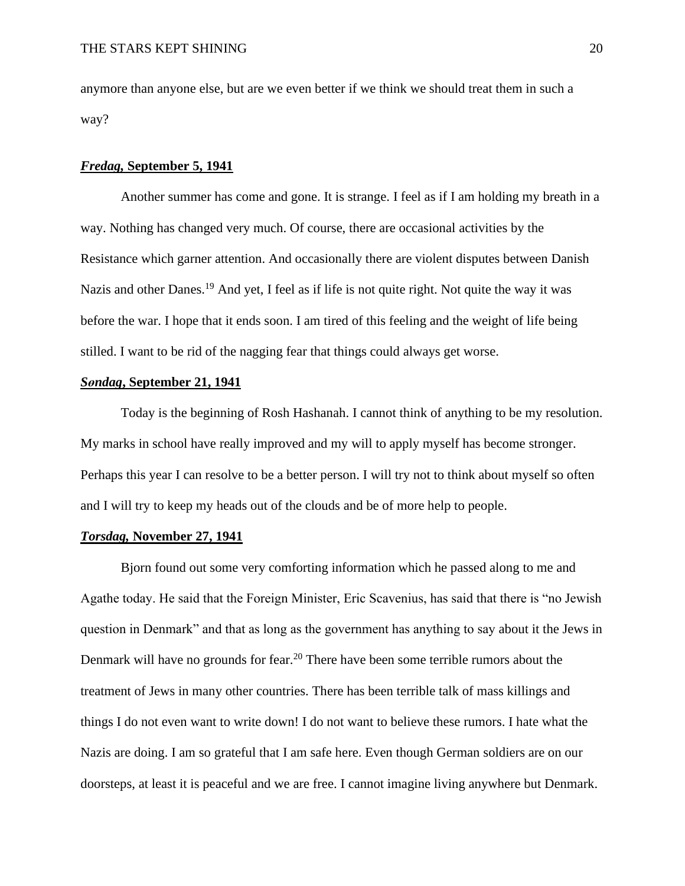anymore than anyone else, but are we even better if we think we should treat them in such a way?

## *Fredag,* **September 5, 1941**

Another summer has come and gone. It is strange. I feel as if I am holding my breath in a way. Nothing has changed very much. Of course, there are occasional activities by the Resistance which garner attention. And occasionally there are violent disputes between Danish Nazis and other Danes.<sup>19</sup> And yet, I feel as if life is not quite right. Not quite the way it was before the war. I hope that it ends soon. I am tired of this feeling and the weight of life being stilled. I want to be rid of the nagging fear that things could always get worse.

## *Sөndag***, September 21, 1941**

Today is the beginning of Rosh Hashanah. I cannot think of anything to be my resolution. My marks in school have really improved and my will to apply myself has become stronger. Perhaps this year I can resolve to be a better person. I will try not to think about myself so often and I will try to keep my heads out of the clouds and be of more help to people.

## *Torsdag,* **November 27, 1941**

Bjorn found out some very comforting information which he passed along to me and Agathe today. He said that the Foreign Minister, Eric Scavenius, has said that there is "no Jewish question in Denmark" and that as long as the government has anything to say about it the Jews in Denmark will have no grounds for fear.<sup>20</sup> There have been some terrible rumors about the treatment of Jews in many other countries. There has been terrible talk of mass killings and things I do not even want to write down! I do not want to believe these rumors. I hate what the Nazis are doing. I am so grateful that I am safe here. Even though German soldiers are on our doorsteps, at least it is peaceful and we are free. I cannot imagine living anywhere but Denmark.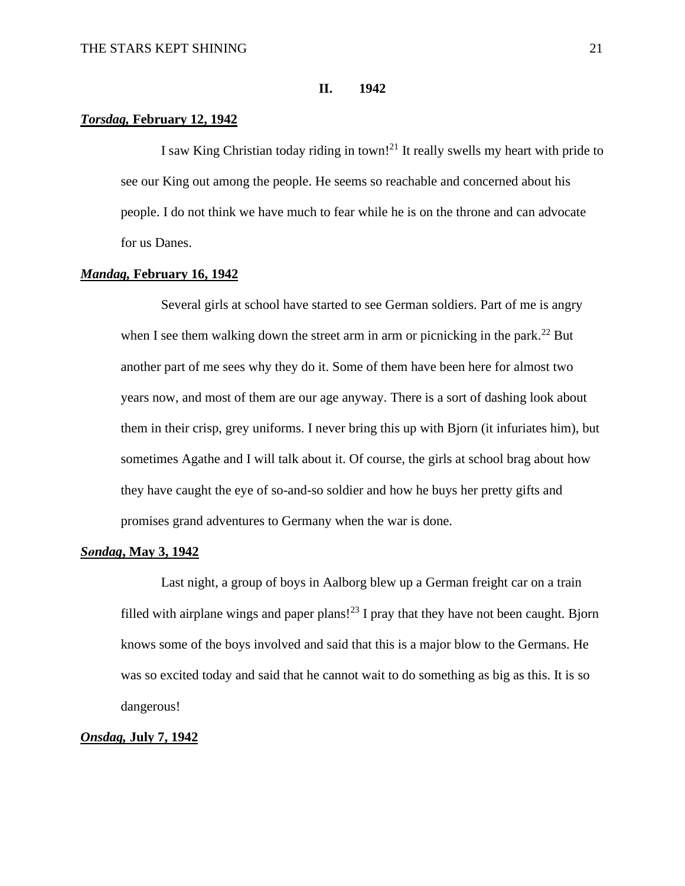## **II. 1942**

## *Torsdag,* **February 12, 1942**

I saw King Christian today riding in town!<sup>21</sup> It really swells my heart with pride to see our King out among the people. He seems so reachable and concerned about his people. I do not think we have much to fear while he is on the throne and can advocate for us Danes.

## *Mandag,* **February 16, 1942**

Several girls at school have started to see German soldiers. Part of me is angry when I see them walking down the street arm in arm or picnicking in the park.<sup>22</sup> But another part of me sees why they do it. Some of them have been here for almost two years now, and most of them are our age anyway. There is a sort of dashing look about them in their crisp, grey uniforms. I never bring this up with Bjorn (it infuriates him), but sometimes Agathe and I will talk about it. Of course, the girls at school brag about how they have caught the eye of so-and-so soldier and how he buys her pretty gifts and promises grand adventures to Germany when the war is done.

## *Sөndag***, May 3, 1942**

Last night, a group of boys in Aalborg blew up a German freight car on a train filled with airplane wings and paper plans!<sup>23</sup> I pray that they have not been caught. Bjorn knows some of the boys involved and said that this is a major blow to the Germans. He was so excited today and said that he cannot wait to do something as big as this. It is so dangerous!

## *Onsdag,* **July 7, 1942**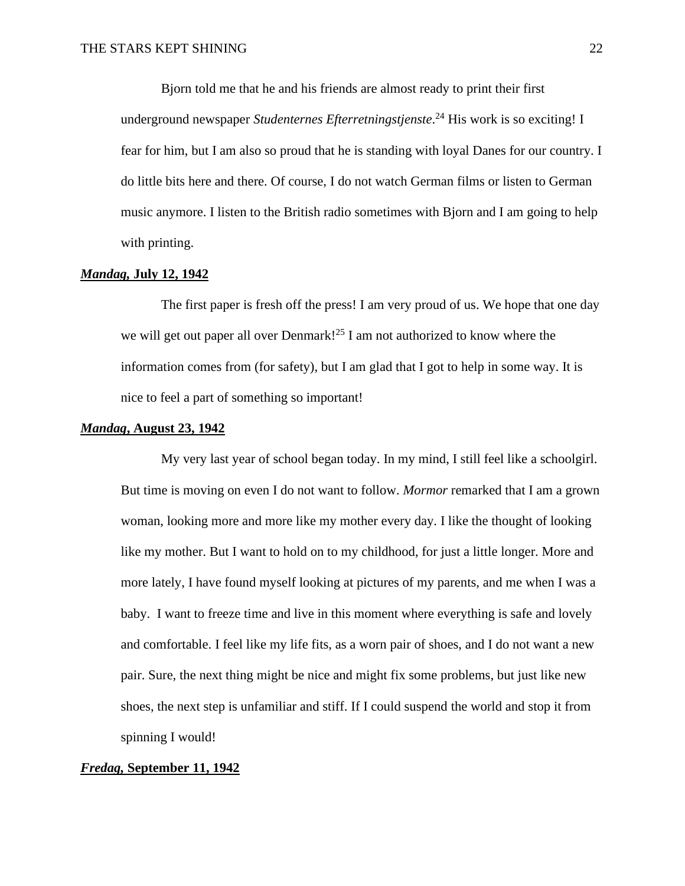Bjorn told me that he and his friends are almost ready to print their first underground newspaper *Studenternes Efterretningstjenste*. <sup>24</sup> His work is so exciting! I fear for him, but I am also so proud that he is standing with loyal Danes for our country. I do little bits here and there. Of course, I do not watch German films or listen to German music anymore. I listen to the British radio sometimes with Bjorn and I am going to help with printing.

## *Mandag,* **July 12, 1942**

The first paper is fresh off the press! I am very proud of us. We hope that one day we will get out paper all over Denmark!<sup>25</sup> I am not authorized to know where the information comes from (for safety), but I am glad that I got to help in some way. It is nice to feel a part of something so important!

#### *Mandag***, August 23, 1942**

My very last year of school began today. In my mind, I still feel like a schoolgirl. But time is moving on even I do not want to follow. *Mormor* remarked that I am a grown woman, looking more and more like my mother every day. I like the thought of looking like my mother. But I want to hold on to my childhood, for just a little longer. More and more lately, I have found myself looking at pictures of my parents, and me when I was a baby. I want to freeze time and live in this moment where everything is safe and lovely and comfortable. I feel like my life fits, as a worn pair of shoes, and I do not want a new pair. Sure, the next thing might be nice and might fix some problems, but just like new shoes, the next step is unfamiliar and stiff. If I could suspend the world and stop it from spinning I would!

## *Fredag,* **September 11, 1942**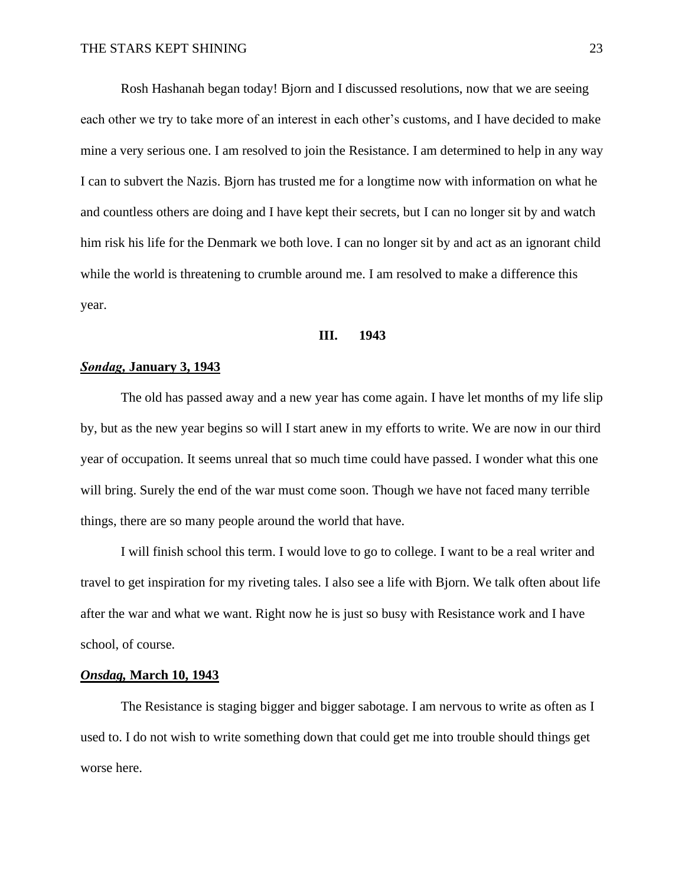Rosh Hashanah began today! Bjorn and I discussed resolutions, now that we are seeing each other we try to take more of an interest in each other's customs, and I have decided to make mine a very serious one. I am resolved to join the Resistance. I am determined to help in any way I can to subvert the Nazis. Bjorn has trusted me for a longtime now with information on what he and countless others are doing and I have kept their secrets, but I can no longer sit by and watch him risk his life for the Denmark we both love. I can no longer sit by and act as an ignorant child while the world is threatening to crumble around me. I am resolved to make a difference this year.

#### **III. 1943**

#### *Sөndag,* **January 3, 1943**

The old has passed away and a new year has come again. I have let months of my life slip by, but as the new year begins so will I start anew in my efforts to write. We are now in our third year of occupation. It seems unreal that so much time could have passed. I wonder what this one will bring. Surely the end of the war must come soon. Though we have not faced many terrible things, there are so many people around the world that have.

I will finish school this term. I would love to go to college. I want to be a real writer and travel to get inspiration for my riveting tales. I also see a life with Bjorn. We talk often about life after the war and what we want. Right now he is just so busy with Resistance work and I have school, of course.

#### *Onsdag,* **March 10, 1943**

The Resistance is staging bigger and bigger sabotage. I am nervous to write as often as I used to. I do not wish to write something down that could get me into trouble should things get worse here.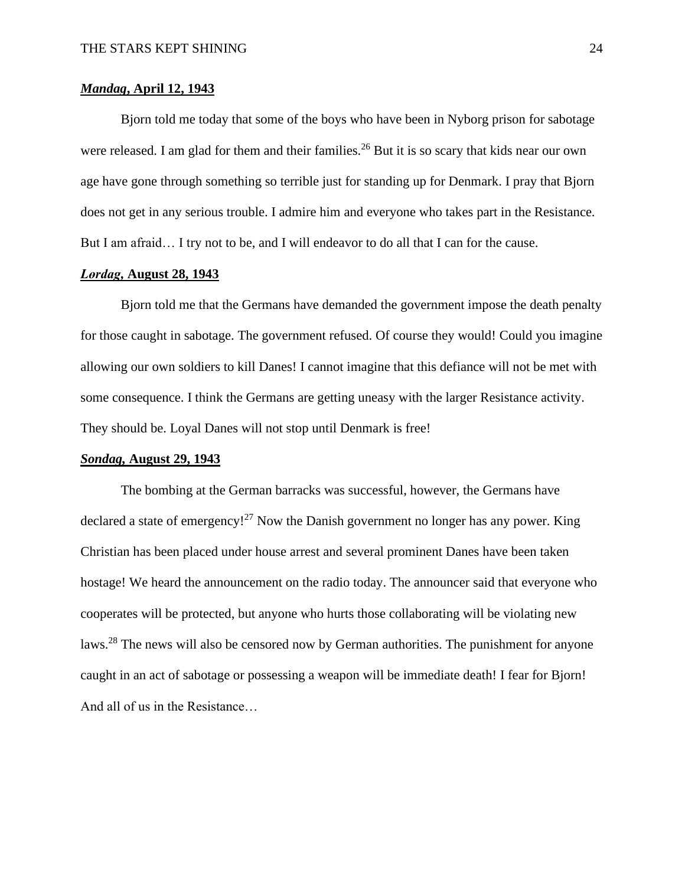## *Mandag***, April 12, 1943**

Bjorn told me today that some of the boys who have been in Nyborg prison for sabotage were released. I am glad for them and their families.<sup>26</sup> But it is so scary that kids near our own age have gone through something so terrible just for standing up for Denmark. I pray that Bjorn does not get in any serious trouble. I admire him and everyone who takes part in the Resistance. But I am afraid... I try not to be, and I will endeavor to do all that I can for the cause.

## *Lөrdag,* **August 28, 1943**

Bjorn told me that the Germans have demanded the government impose the death penalty for those caught in sabotage. The government refused. Of course they would! Could you imagine allowing our own soldiers to kill Danes! I cannot imagine that this defiance will not be met with some consequence. I think the Germans are getting uneasy with the larger Resistance activity. They should be. Loyal Danes will not stop until Denmark is free!

#### *Sondag,* **August 29, 1943**

The bombing at the German barracks was successful, however, the Germans have declared a state of emergency!<sup>27</sup> Now the Danish government no longer has any power. King Christian has been placed under house arrest and several prominent Danes have been taken hostage! We heard the announcement on the radio today. The announcer said that everyone who cooperates will be protected, but anyone who hurts those collaborating will be violating new laws.<sup>28</sup> The news will also be censored now by German authorities. The punishment for anyone caught in an act of sabotage or possessing a weapon will be immediate death! I fear for Bjorn! And all of us in the Resistance…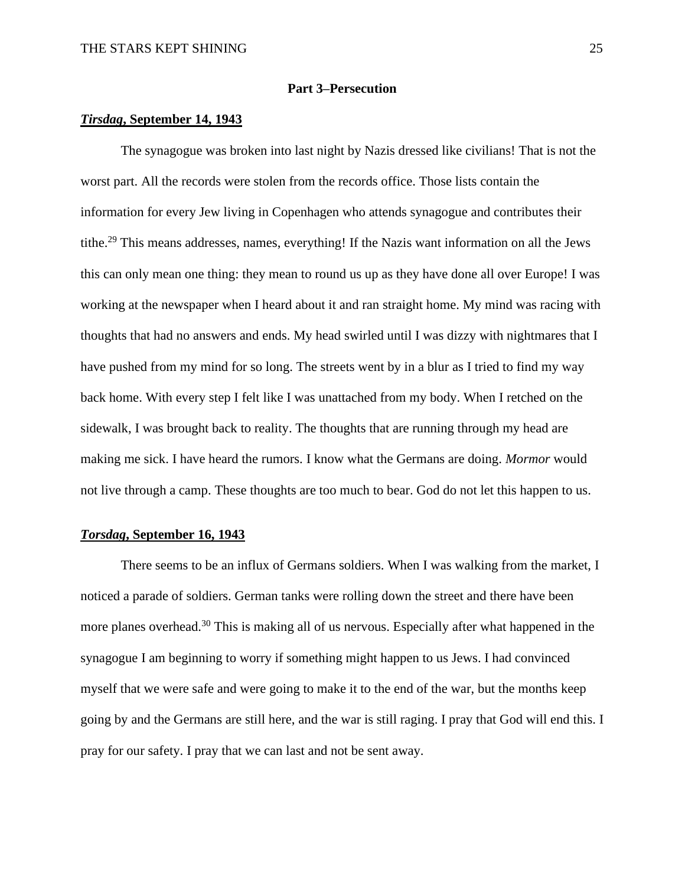## **Part 3–Persecution**

## *Tirsdag***, September 14, 1943**

The synagogue was broken into last night by Nazis dressed like civilians! That is not the worst part. All the records were stolen from the records office. Those lists contain the information for every Jew living in Copenhagen who attends synagogue and contributes their tithe.<sup>29</sup> This means addresses, names, everything! If the Nazis want information on all the Jews this can only mean one thing: they mean to round us up as they have done all over Europe! I was working at the newspaper when I heard about it and ran straight home. My mind was racing with thoughts that had no answers and ends. My head swirled until I was dizzy with nightmares that I have pushed from my mind for so long. The streets went by in a blur as I tried to find my way back home. With every step I felt like I was unattached from my body. When I retched on the sidewalk, I was brought back to reality. The thoughts that are running through my head are making me sick. I have heard the rumors. I know what the Germans are doing. *Mormor* would not live through a camp. These thoughts are too much to bear. God do not let this happen to us.

## *Torsdag***, September 16, 1943**

There seems to be an influx of Germans soldiers. When I was walking from the market, I noticed a parade of soldiers. German tanks were rolling down the street and there have been more planes overhead.<sup>30</sup> This is making all of us nervous. Especially after what happened in the synagogue I am beginning to worry if something might happen to us Jews. I had convinced myself that we were safe and were going to make it to the end of the war, but the months keep going by and the Germans are still here, and the war is still raging. I pray that God will end this. I pray for our safety. I pray that we can last and not be sent away.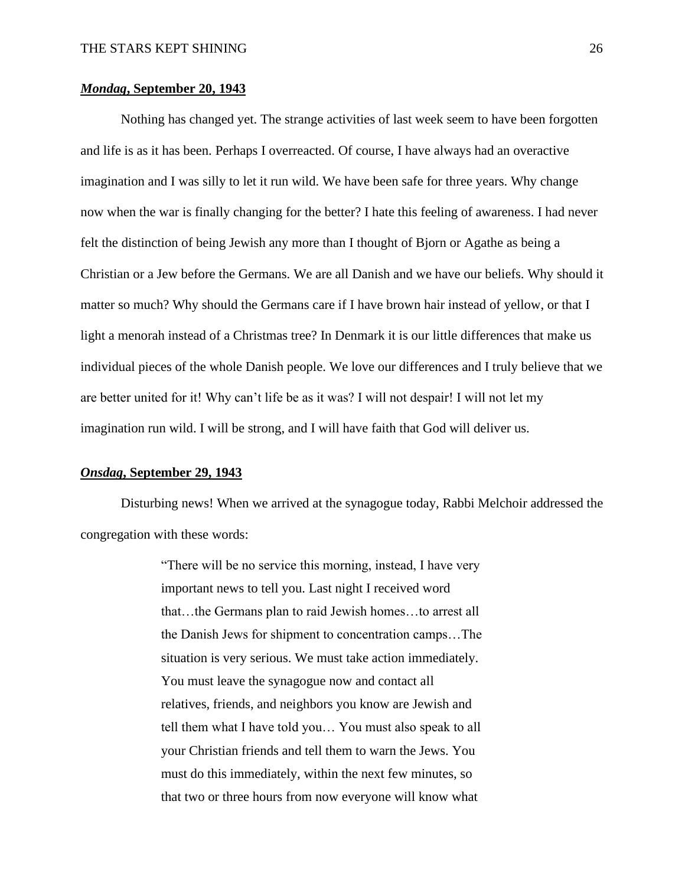## *Mondag***, September 20, 1943**

Nothing has changed yet. The strange activities of last week seem to have been forgotten and life is as it has been. Perhaps I overreacted. Of course, I have always had an overactive imagination and I was silly to let it run wild. We have been safe for three years. Why change now when the war is finally changing for the better? I hate this feeling of awareness. I had never felt the distinction of being Jewish any more than I thought of Bjorn or Agathe as being a Christian or a Jew before the Germans. We are all Danish and we have our beliefs. Why should it matter so much? Why should the Germans care if I have brown hair instead of yellow, or that I light a menorah instead of a Christmas tree? In Denmark it is our little differences that make us individual pieces of the whole Danish people. We love our differences and I truly believe that we are better united for it! Why can't life be as it was? I will not despair! I will not let my imagination run wild. I will be strong, and I will have faith that God will deliver us.

## *Onsdag***, September 29, 1943**

Disturbing news! When we arrived at the synagogue today, Rabbi Melchoir addressed the congregation with these words:

> "There will be no service this morning, instead, I have very important news to tell you. Last night I received word that…the Germans plan to raid Jewish homes…to arrest all the Danish Jews for shipment to concentration camps…The situation is very serious. We must take action immediately. You must leave the synagogue now and contact all relatives, friends, and neighbors you know are Jewish and tell them what I have told you… You must also speak to all your Christian friends and tell them to warn the Jews. You must do this immediately, within the next few minutes, so that two or three hours from now everyone will know what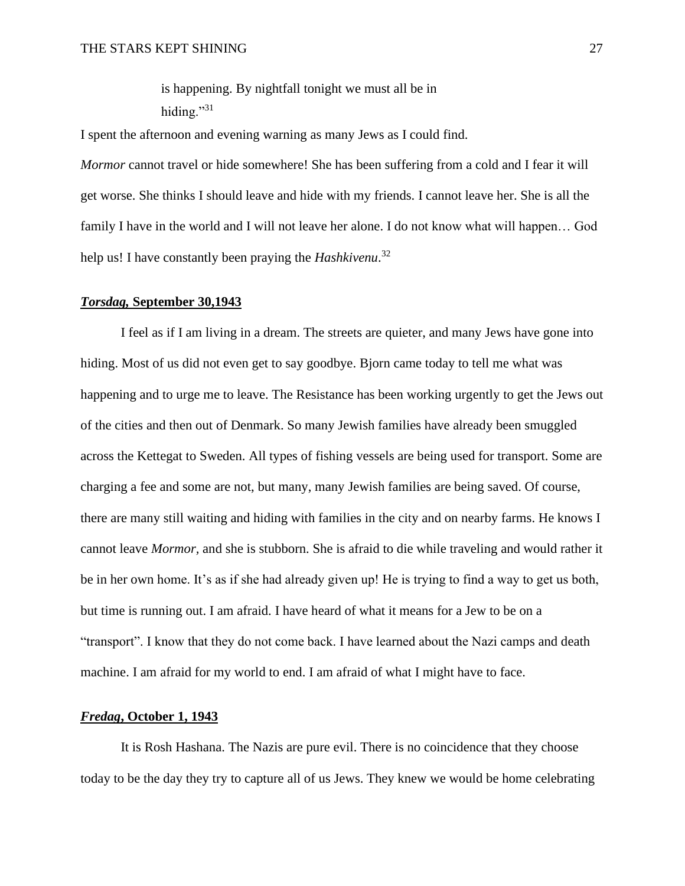is happening. By nightfall tonight we must all be in hiding."31

I spent the afternoon and evening warning as many Jews as I could find.

*Mormor* cannot travel or hide somewhere! She has been suffering from a cold and I fear it will get worse. She thinks I should leave and hide with my friends. I cannot leave her. She is all the family I have in the world and I will not leave her alone. I do not know what will happen... God help us! I have constantly been praying the *Hashkivenu*. 32

#### *Torsdag,* **September 30,1943**

I feel as if I am living in a dream. The streets are quieter, and many Jews have gone into hiding. Most of us did not even get to say goodbye. Bjorn came today to tell me what was happening and to urge me to leave. The Resistance has been working urgently to get the Jews out of the cities and then out of Denmark. So many Jewish families have already been smuggled across the Kettegat to Sweden. All types of fishing vessels are being used for transport. Some are charging a fee and some are not, but many, many Jewish families are being saved. Of course, there are many still waiting and hiding with families in the city and on nearby farms. He knows I cannot leave *Mormor,* and she is stubborn. She is afraid to die while traveling and would rather it be in her own home. It's as if she had already given up! He is trying to find a way to get us both, but time is running out. I am afraid. I have heard of what it means for a Jew to be on a "transport". I know that they do not come back. I have learned about the Nazi camps and death machine. I am afraid for my world to end. I am afraid of what I might have to face.

## *Fredag***, October 1, 1943**

It is Rosh Hashana. The Nazis are pure evil. There is no coincidence that they choose today to be the day they try to capture all of us Jews. They knew we would be home celebrating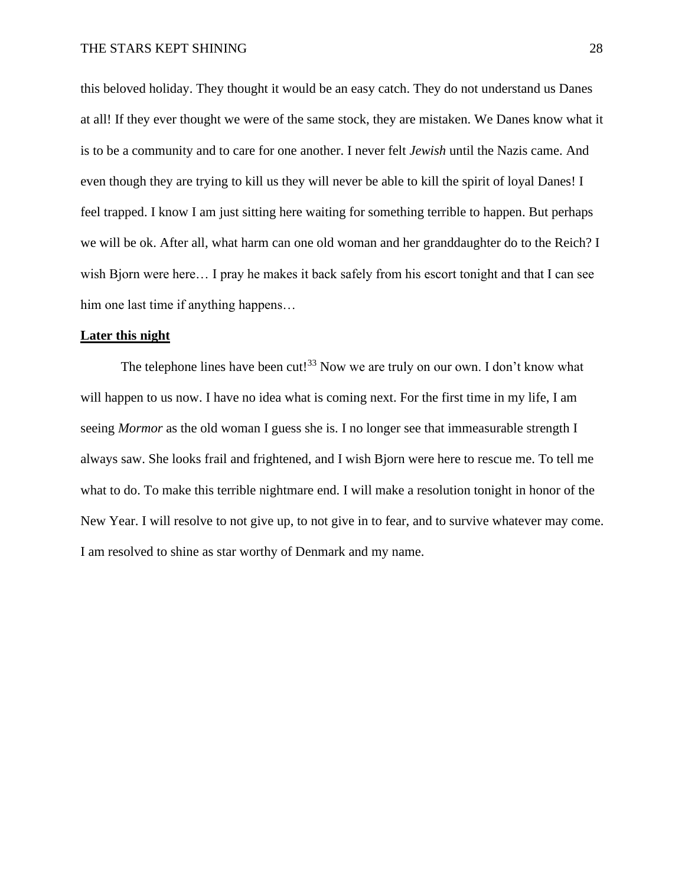this beloved holiday. They thought it would be an easy catch. They do not understand us Danes at all! If they ever thought we were of the same stock, they are mistaken. We Danes know what it is to be a community and to care for one another. I never felt *Jewish* until the Nazis came. And even though they are trying to kill us they will never be able to kill the spirit of loyal Danes! I feel trapped. I know I am just sitting here waiting for something terrible to happen. But perhaps we will be ok. After all, what harm can one old woman and her granddaughter do to the Reich? I wish Bjorn were here... I pray he makes it back safely from his escort tonight and that I can see him one last time if anything happens...

## **Later this night**

The telephone lines have been cut!<sup>33</sup> Now we are truly on our own. I don't know what will happen to us now. I have no idea what is coming next. For the first time in my life, I am seeing *Mormor* as the old woman I guess she is. I no longer see that immeasurable strength I always saw. She looks frail and frightened, and I wish Bjorn were here to rescue me. To tell me what to do. To make this terrible nightmare end. I will make a resolution tonight in honor of the New Year. I will resolve to not give up, to not give in to fear, and to survive whatever may come. I am resolved to shine as star worthy of Denmark and my name.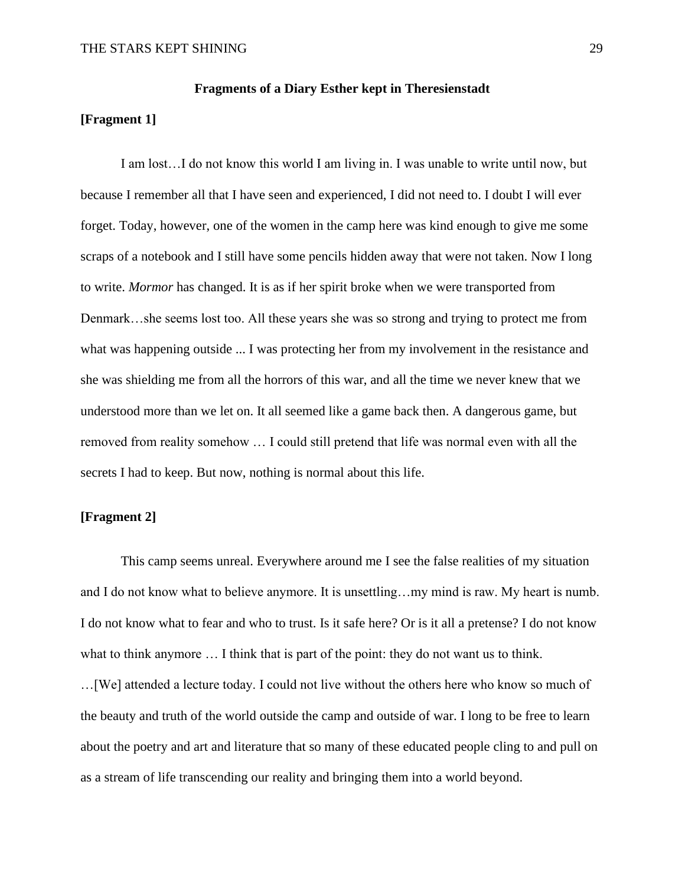## **Fragments of a Diary Esther kept in Theresienstadt**

## **[Fragment 1]**

I am lost…I do not know this world I am living in. I was unable to write until now, but because I remember all that I have seen and experienced, I did not need to. I doubt I will ever forget. Today, however, one of the women in the camp here was kind enough to give me some scraps of a notebook and I still have some pencils hidden away that were not taken. Now I long to write. *Mormor* has changed. It is as if her spirit broke when we were transported from Denmark…she seems lost too. All these years she was so strong and trying to protect me from what was happening outside ... I was protecting her from my involvement in the resistance and she was shielding me from all the horrors of this war, and all the time we never knew that we understood more than we let on. It all seemed like a game back then. A dangerous game, but removed from reality somehow … I could still pretend that life was normal even with all the secrets I had to keep. But now, nothing is normal about this life.

## **[Fragment 2]**

This camp seems unreal. Everywhere around me I see the false realities of my situation and I do not know what to believe anymore. It is unsettling…my mind is raw. My heart is numb. I do not know what to fear and who to trust. Is it safe here? Or is it all a pretense? I do not know what to think anymore ... I think that is part of the point: they do not want us to think. …[We] attended a lecture today. I could not live without the others here who know so much of the beauty and truth of the world outside the camp and outside of war. I long to be free to learn about the poetry and art and literature that so many of these educated people cling to and pull on as a stream of life transcending our reality and bringing them into a world beyond.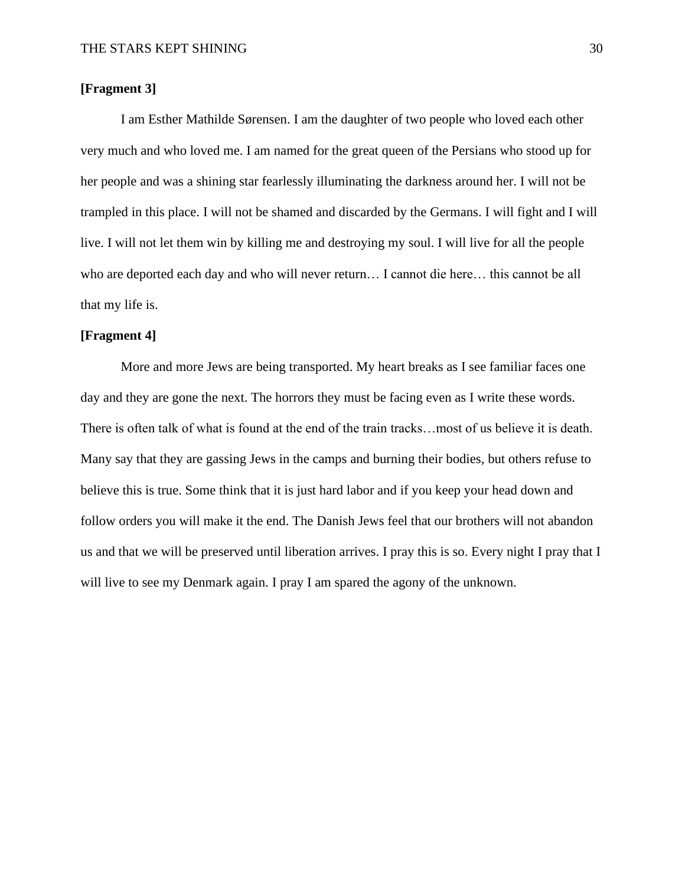## **[Fragment 3]**

I am Esther Mathilde Sørensen. I am the daughter of two people who loved each other very much and who loved me. I am named for the great queen of the Persians who stood up for her people and was a shining star fearlessly illuminating the darkness around her. I will not be trampled in this place. I will not be shamed and discarded by the Germans. I will fight and I will live. I will not let them win by killing me and destroying my soul. I will live for all the people who are deported each day and who will never return… I cannot die here… this cannot be all that my life is.

## **[Fragment 4]**

More and more Jews are being transported. My heart breaks as I see familiar faces one day and they are gone the next. The horrors they must be facing even as I write these words. There is often talk of what is found at the end of the train tracks…most of us believe it is death. Many say that they are gassing Jews in the camps and burning their bodies, but others refuse to believe this is true. Some think that it is just hard labor and if you keep your head down and follow orders you will make it the end. The Danish Jews feel that our brothers will not abandon us and that we will be preserved until liberation arrives. I pray this is so. Every night I pray that I will live to see my Denmark again. I pray I am spared the agony of the unknown.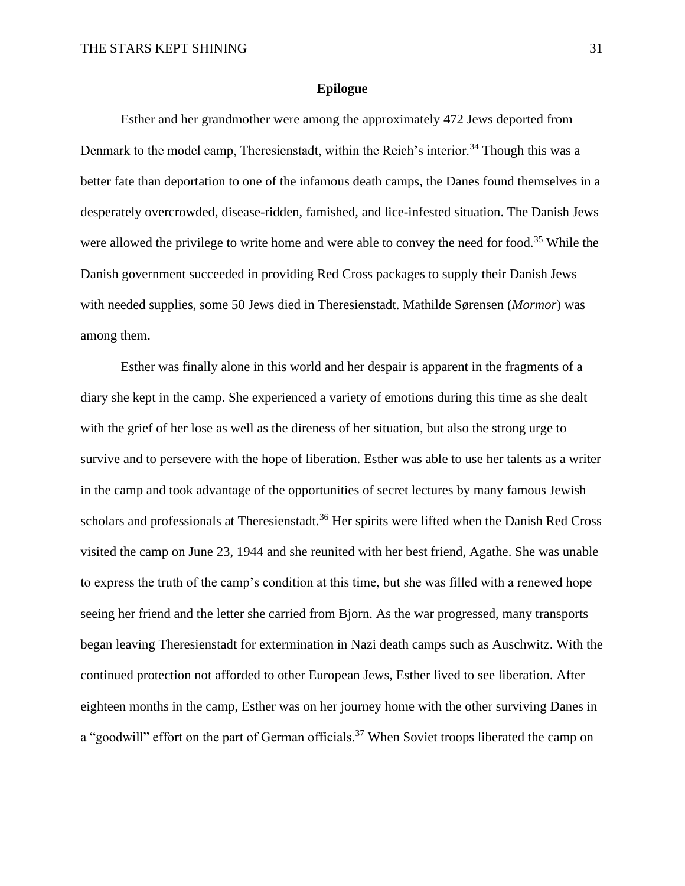## **Epilogue**

Esther and her grandmother were among the approximately 472 Jews deported from Denmark to the model camp, Theresienstadt, within the Reich's interior.<sup>34</sup> Though this was a better fate than deportation to one of the infamous death camps, the Danes found themselves in a desperately overcrowded, disease-ridden, famished, and lice-infested situation. The Danish Jews were allowed the privilege to write home and were able to convey the need for food.<sup>35</sup> While the Danish government succeeded in providing Red Cross packages to supply their Danish Jews with needed supplies, some 50 Jews died in Theresienstadt. Mathilde Sørensen (*Mormor*) was among them.

Esther was finally alone in this world and her despair is apparent in the fragments of a diary she kept in the camp. She experienced a variety of emotions during this time as she dealt with the grief of her lose as well as the direness of her situation, but also the strong urge to survive and to persevere with the hope of liberation. Esther was able to use her talents as a writer in the camp and took advantage of the opportunities of secret lectures by many famous Jewish scholars and professionals at Theresienstadt.<sup>36</sup> Her spirits were lifted when the Danish Red Cross visited the camp on June 23, 1944 and she reunited with her best friend, Agathe. She was unable to express the truth of the camp's condition at this time, but she was filled with a renewed hope seeing her friend and the letter she carried from Bjorn. As the war progressed, many transports began leaving Theresienstadt for extermination in Nazi death camps such as Auschwitz. With the continued protection not afforded to other European Jews, Esther lived to see liberation. After eighteen months in the camp, Esther was on her journey home with the other surviving Danes in a "goodwill" effort on the part of German officials.<sup>37</sup> When Soviet troops liberated the camp on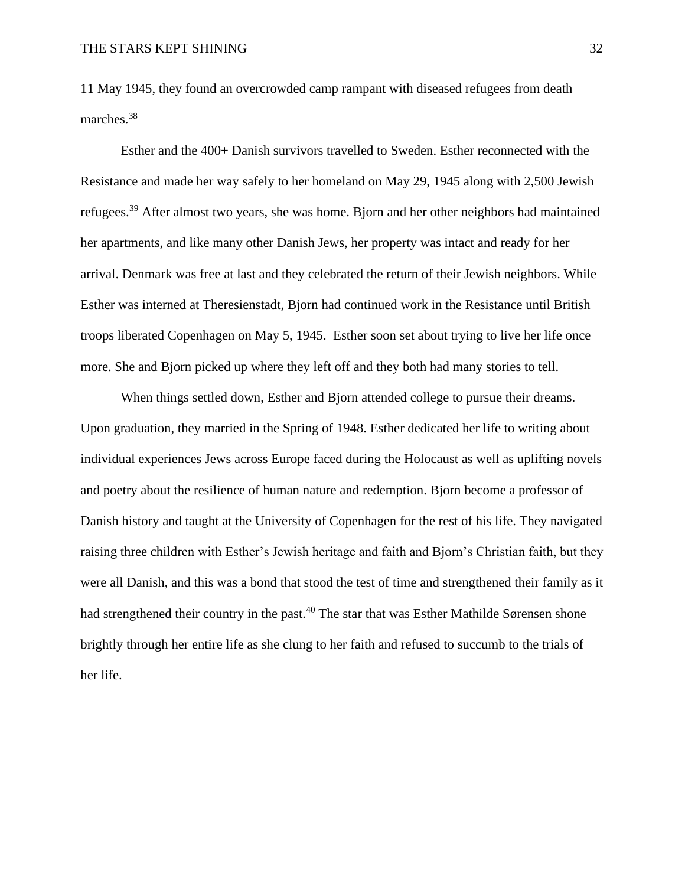11 May 1945, they found an overcrowded camp rampant with diseased refugees from death marches.<sup>38</sup>

Esther and the 400+ Danish survivors travelled to Sweden. Esther reconnected with the Resistance and made her way safely to her homeland on May 29, 1945 along with 2,500 Jewish refugees.<sup>39</sup> After almost two years, she was home. Bjorn and her other neighbors had maintained her apartments, and like many other Danish Jews, her property was intact and ready for her arrival. Denmark was free at last and they celebrated the return of their Jewish neighbors. While Esther was interned at Theresienstadt, Bjorn had continued work in the Resistance until British troops liberated Copenhagen on May 5, 1945. Esther soon set about trying to live her life once more. She and Bjorn picked up where they left off and they both had many stories to tell.

When things settled down, Esther and Bjorn attended college to pursue their dreams. Upon graduation, they married in the Spring of 1948. Esther dedicated her life to writing about individual experiences Jews across Europe faced during the Holocaust as well as uplifting novels and poetry about the resilience of human nature and redemption. Bjorn become a professor of Danish history and taught at the University of Copenhagen for the rest of his life. They navigated raising three children with Esther's Jewish heritage and faith and Bjorn's Christian faith, but they were all Danish, and this was a bond that stood the test of time and strengthened their family as it had strengthened their country in the past.<sup>40</sup> The star that was Esther Mathilde Sørensen shone brightly through her entire life as she clung to her faith and refused to succumb to the trials of her life.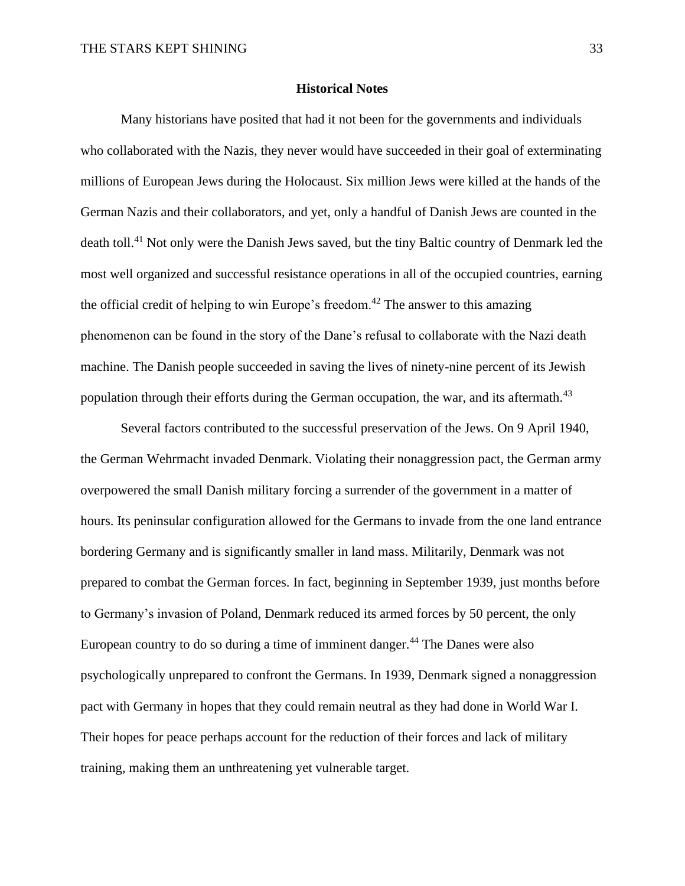## **Historical Notes**

Many historians have posited that had it not been for the governments and individuals who collaborated with the Nazis, they never would have succeeded in their goal of exterminating millions of European Jews during the Holocaust. Six million Jews were killed at the hands of the German Nazis and their collaborators, and yet, only a handful of Danish Jews are counted in the death toll.<sup>41</sup> Not only were the Danish Jews saved, but the tiny Baltic country of Denmark led the most well organized and successful resistance operations in all of the occupied countries, earning the official credit of helping to win Europe's freedom.<sup>42</sup> The answer to this amazing phenomenon can be found in the story of the Dane's refusal to collaborate with the Nazi death machine. The Danish people succeeded in saving the lives of ninety-nine percent of its Jewish population through their efforts during the German occupation, the war, and its aftermath.<sup>43</sup>

Several factors contributed to the successful preservation of the Jews. On 9 April 1940, the German Wehrmacht invaded Denmark. Violating their nonaggression pact, the German army overpowered the small Danish military forcing a surrender of the government in a matter of hours. Its peninsular configuration allowed for the Germans to invade from the one land entrance bordering Germany and is significantly smaller in land mass. Militarily, Denmark was not prepared to combat the German forces. In fact, beginning in September 1939, just months before to Germany's invasion of Poland, Denmark reduced its armed forces by 50 percent, the only European country to do so during a time of imminent danger.<sup>44</sup> The Danes were also psychologically unprepared to confront the Germans. In 1939, Denmark signed a nonaggression pact with Germany in hopes that they could remain neutral as they had done in World War I. Their hopes for peace perhaps account for the reduction of their forces and lack of military training, making them an unthreatening yet vulnerable target.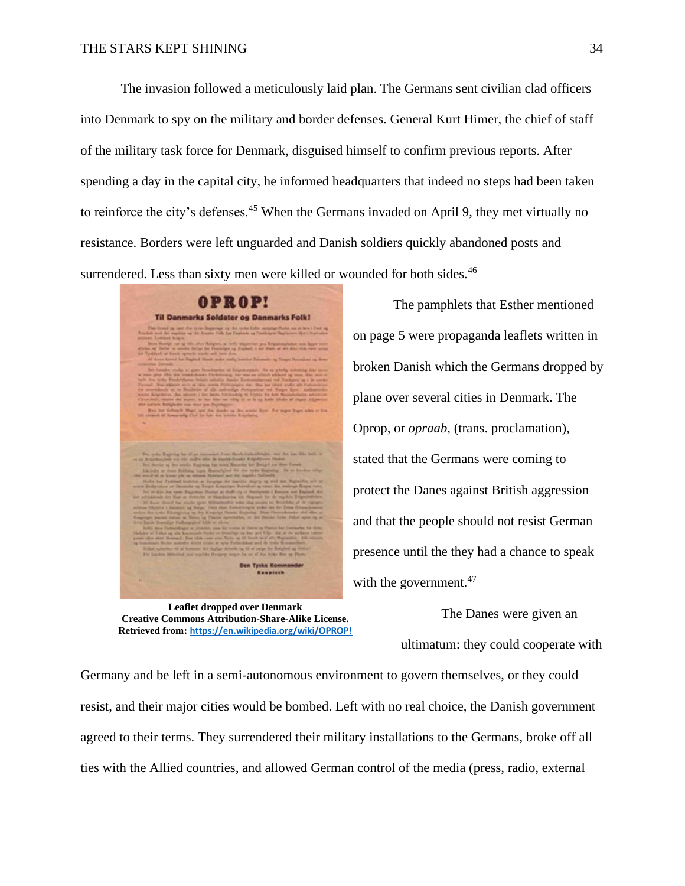The invasion followed a meticulously laid plan. The Germans sent civilian clad officers into Denmark to spy on the military and border defenses. General Kurt Himer, the chief of staff of the military task force for Denmark, disguised himself to confirm previous reports. After spending a day in the capital city, he informed headquarters that indeed no steps had been taken to reinforce the city's defenses.<sup>45</sup> When the Germans invaded on April 9, they met virtually no resistance. Borders were left unguarded and Danish soldiers quickly abandoned posts and surrendered. Less than sixty men were killed or wounded for both sides.<sup>46</sup>

OPROP! **Til Danmarks Soldater og Danmarks Folk!** 

**Leaflet dropped over Denmark Creative Commons Attribution-Share-Alike License. Retrieved from: <https://en.wikipedia.org/wiki/OPROP!>**

The pamphlets that Esther mentioned on page 5 were propaganda leaflets written in broken Danish which the Germans dropped by plane over several cities in Denmark. The Oprop, or *opraab,* (trans. proclamation), stated that the Germans were coming to protect the Danes against British aggression and that the people should not resist German presence until the they had a chance to speak with the government. $47$ 

> The Danes were given an ultimatum: they could cooperate with

Germany and be left in a semi-autonomous environment to govern themselves, or they could resist, and their major cities would be bombed. Left with no real choice, the Danish government agreed to their terms. They surrendered their military installations to the Germans, broke off all ties with the Allied countries, and allowed German control of the media (press, radio, external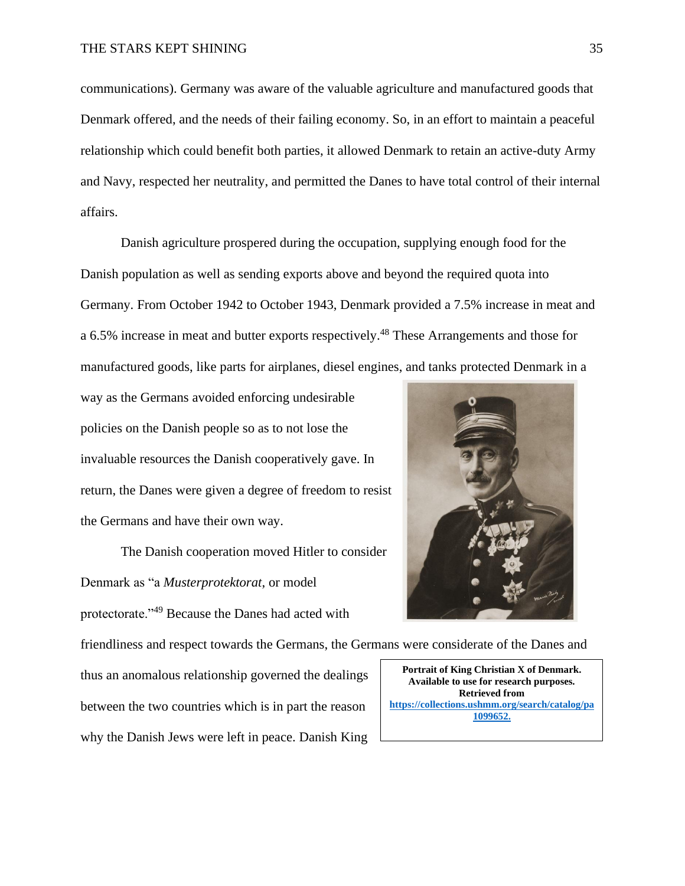communications). Germany was aware of the valuable agriculture and manufactured goods that Denmark offered, and the needs of their failing economy. So, in an effort to maintain a peaceful relationship which could benefit both parties, it allowed Denmark to retain an active-duty Army and Navy, respected her neutrality, and permitted the Danes to have total control of their internal affairs.

Danish agriculture prospered during the occupation, supplying enough food for the Danish population as well as sending exports above and beyond the required quota into Germany. From October 1942 to October 1943, Denmark provided a 7.5% increase in meat and a 6.5% increase in meat and butter exports respectively.<sup>48</sup> These Arrangements and those for manufactured goods, like parts for airplanes, diesel engines, and tanks protected Denmark in a

way as the Germans avoided enforcing undesirable policies on the Danish people so as to not lose the invaluable resources the Danish cooperatively gave. In return, the Danes were given a degree of freedom to resist the Germans and have their own way.

The Danish cooperation moved Hitler to consider Denmark as "a *Musterprotektorat*, or model protectorate."<sup>49</sup> Because the Danes had acted with

friendliness and respect towards the Germans, the Germans were considerate of the Danes and

thus an anomalous relationship governed the dealings between the two countries which is in part the reason why the Danish Jews were left in peace. Danish King



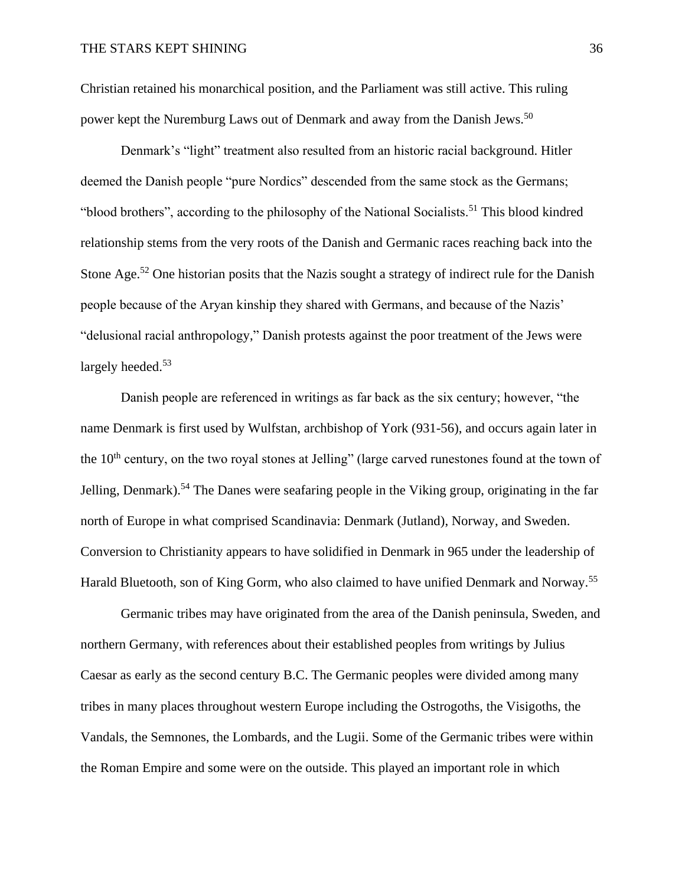Christian retained his monarchical position, and the Parliament was still active. This ruling power kept the Nuremburg Laws out of Denmark and away from the Danish Jews.<sup>50</sup>

Denmark's "light" treatment also resulted from an historic racial background. Hitler deemed the Danish people "pure Nordics" descended from the same stock as the Germans; "blood brothers", according to the philosophy of the National Socialists.<sup>51</sup> This blood kindred relationship stems from the very roots of the Danish and Germanic races reaching back into the Stone Age.<sup>52</sup> One historian posits that the Nazis sought a strategy of indirect rule for the Danish people because of the Aryan kinship they shared with Germans, and because of the Nazis' "delusional racial anthropology," Danish protests against the poor treatment of the Jews were largely heeded.<sup>53</sup>

Danish people are referenced in writings as far back as the six century; however, "the name Denmark is first used by Wulfstan, archbishop of York (931-56), and occurs again later in the  $10<sup>th</sup>$  century, on the two royal stones at Jelling" (large carved runestones found at the town of Jelling, Denmark).<sup>54</sup> The Danes were seafaring people in the Viking group, originating in the far north of Europe in what comprised Scandinavia: Denmark (Jutland), Norway, and Sweden. Conversion to Christianity appears to have solidified in Denmark in 965 under the leadership of Harald Bluetooth, son of King Gorm, who also claimed to have unified Denmark and Norway.<sup>55</sup>

Germanic tribes may have originated from the area of the Danish peninsula, Sweden, and northern Germany, with references about their established peoples from writings by Julius Caesar as early as the second century B.C. The Germanic peoples were divided among many tribes in many places throughout western Europe including the Ostrogoths, the Visigoths, the Vandals, the Semnones, the Lombards, and the Lugii. Some of the Germanic tribes were within the Roman Empire and some were on the outside. This played an important role in which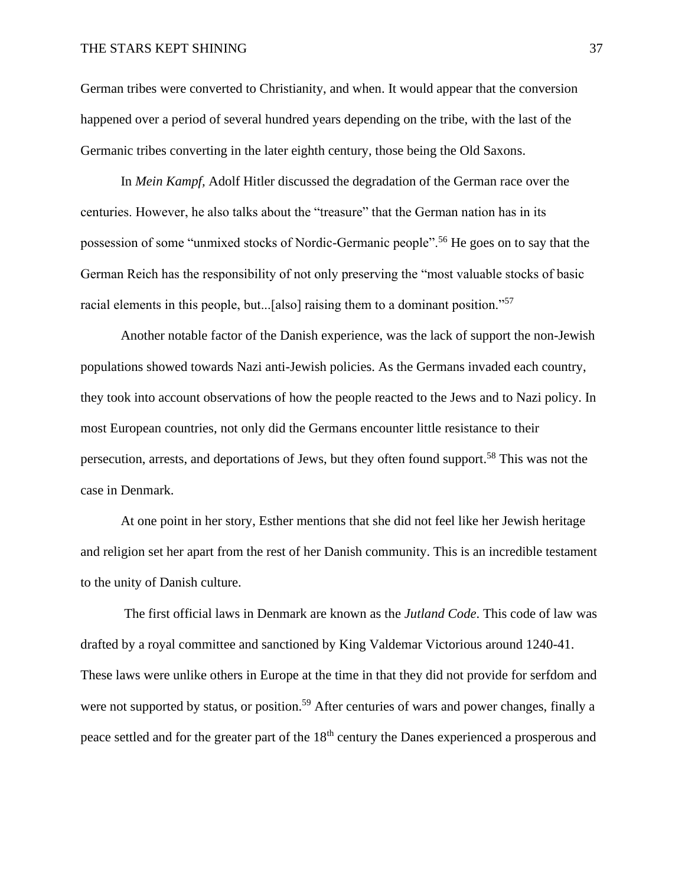## THE STARS KEPT SHINING 37

German tribes were converted to Christianity, and when. It would appear that the conversion happened over a period of several hundred years depending on the tribe, with the last of the Germanic tribes converting in the later eighth century, those being the Old Saxons.

In *Mein Kampf,* Adolf Hitler discussed the degradation of the German race over the centuries. However, he also talks about the "treasure" that the German nation has in its possession of some "unmixed stocks of Nordic-Germanic people".<sup>56</sup> He goes on to say that the German Reich has the responsibility of not only preserving the "most valuable stocks of basic racial elements in this people, but...[also] raising them to a dominant position."<sup>57</sup>

Another notable factor of the Danish experience, was the lack of support the non-Jewish populations showed towards Nazi anti-Jewish policies. As the Germans invaded each country, they took into account observations of how the people reacted to the Jews and to Nazi policy. In most European countries, not only did the Germans encounter little resistance to their persecution, arrests, and deportations of Jews, but they often found support.<sup>58</sup> This was not the case in Denmark.

At one point in her story, Esther mentions that she did not feel like her Jewish heritage and religion set her apart from the rest of her Danish community. This is an incredible testament to the unity of Danish culture.

The first official laws in Denmark are known as the *Jutland Code*. This code of law was drafted by a royal committee and sanctioned by King Valdemar Victorious around 1240-41. These laws were unlike others in Europe at the time in that they did not provide for serfdom and were not supported by status, or position.<sup>59</sup> After centuries of wars and power changes, finally a peace settled and for the greater part of the 18<sup>th</sup> century the Danes experienced a prosperous and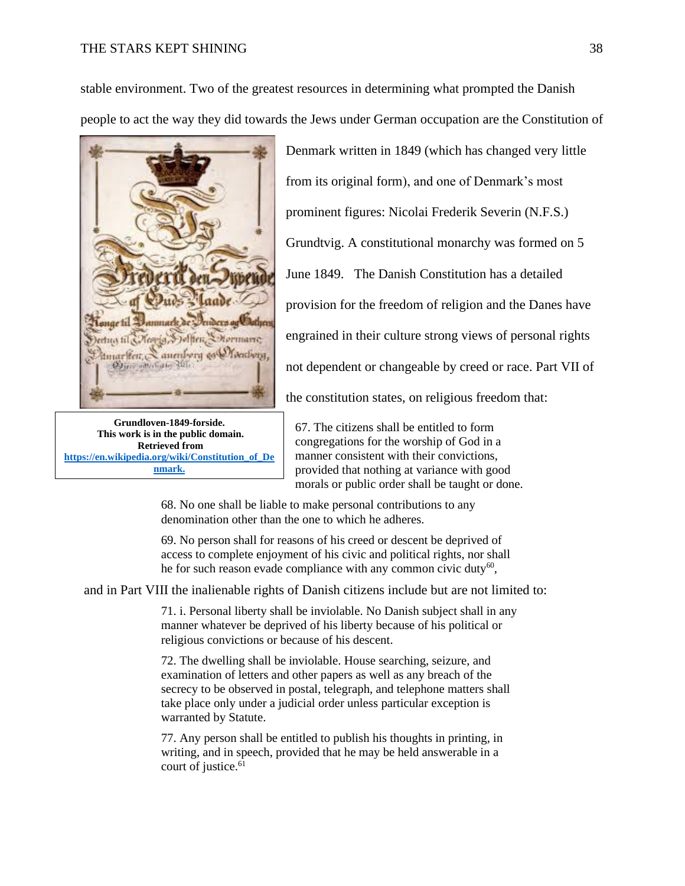## THE STARS KEPT SHINING 38

stable environment. Two of the greatest resources in determining what prompted the Danish people to act the way they did towards the Jews under German occupation are the Constitution of



**Grundloven-1849-forside. This work is in the public domain. Retrieved from [https://en.wikipedia.org/wiki/Constitution\\_of\\_De](https://en.wikipedia.org/wiki/Constitution_of_Denmark.) [nmark.](https://en.wikipedia.org/wiki/Constitution_of_Denmark.)**

Denmark written in 1849 (which has changed very little from its original form), and one of Denmark's most prominent figures: Nicolai Frederik Severin (N.F.S.) Grundtvig. A constitutional monarchy was formed on 5 June 1849. The Danish Constitution has a detailed provision for the freedom of religion and the Danes have engrained in their culture strong views of personal rights not dependent or changeable by creed or race. Part VII of the constitution states, on religious freedom that:

67. The citizens shall be entitled to form congregations for the worship of God in a manner consistent with their convictions, provided that nothing at variance with good morals or public order shall be taught or done.

68. No one shall be liable to make personal contributions to any denomination other than the one to which he adheres.

69. No person shall for reasons of his creed or descent be deprived of access to complete enjoyment of his civic and political rights, nor shall he for such reason evade compliance with any common civic duty $^{60}$ ,

and in Part VIII the inalienable rights of Danish citizens include but are not limited to:

71. i. Personal liberty shall be inviolable. No Danish subject shall in any manner whatever be deprived of his liberty because of his political or religious convictions or because of his descent.

72. The dwelling shall be inviolable. House searching, seizure, and examination of letters and other papers as well as any breach of the secrecy to be observed in postal, telegraph, and telephone matters shall take place only under a judicial order unless particular exception is warranted by Statute.

77. Any person shall be entitled to publish his thoughts in printing, in writing, and in speech, provided that he may be held answerable in a court of justice.<sup>61</sup>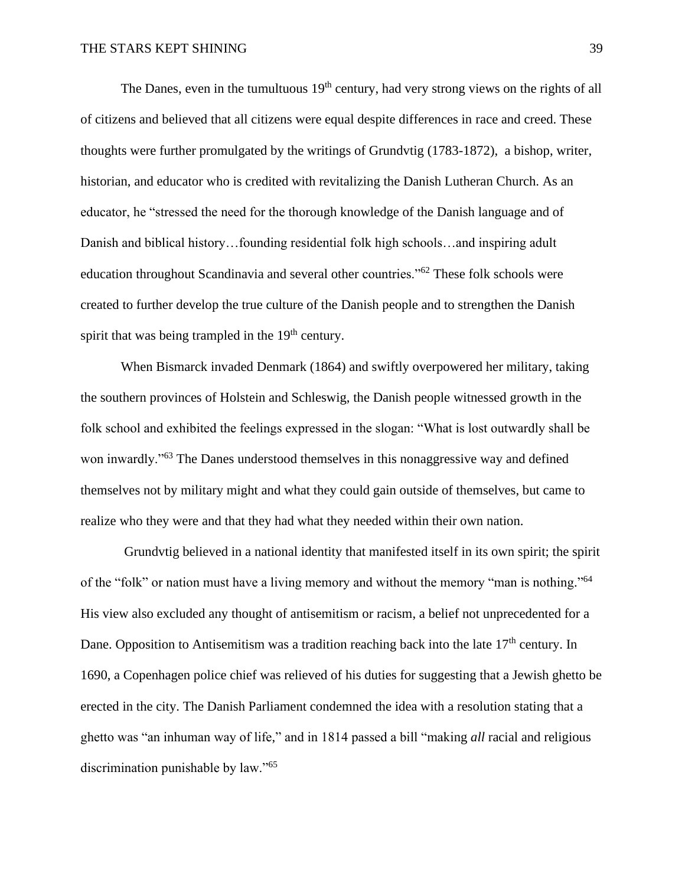The Danes, even in the tumultuous  $19<sup>th</sup>$  century, had very strong views on the rights of all of citizens and believed that all citizens were equal despite differences in race and creed. These thoughts were further promulgated by the writings of Grundvtig (1783-1872), a bishop, writer, historian, and educator who is credited with revitalizing the Danish Lutheran Church. As an educator, he "stressed the need for the thorough knowledge of the Danish language and of Danish and biblical history…founding residential folk high schools…and inspiring adult education throughout Scandinavia and several other countries."<sup>62</sup> These folk schools were created to further develop the true culture of the Danish people and to strengthen the Danish spirit that was being trampled in the  $19<sup>th</sup>$  century.

When Bismarck invaded Denmark (1864) and swiftly overpowered her military, taking the southern provinces of Holstein and Schleswig, the Danish people witnessed growth in the folk school and exhibited the feelings expressed in the slogan: "What is lost outwardly shall be won inwardly."<sup>63</sup> The Danes understood themselves in this nonaggressive way and defined themselves not by military might and what they could gain outside of themselves, but came to realize who they were and that they had what they needed within their own nation.

Grundvtig believed in a national identity that manifested itself in its own spirit; the spirit of the "folk" or nation must have a living memory and without the memory "man is nothing."<sup>64</sup> His view also excluded any thought of antisemitism or racism, a belief not unprecedented for a Dane. Opposition to Antisemitism was a tradition reaching back into the late  $17<sup>th</sup>$  century. In 1690, a Copenhagen police chief was relieved of his duties for suggesting that a Jewish ghetto be erected in the city. The Danish Parliament condemned the idea with a resolution stating that a ghetto was "an inhuman way of life," and in 1814 passed a bill "making *all* racial and religious discrimination punishable by law."<sup>65</sup>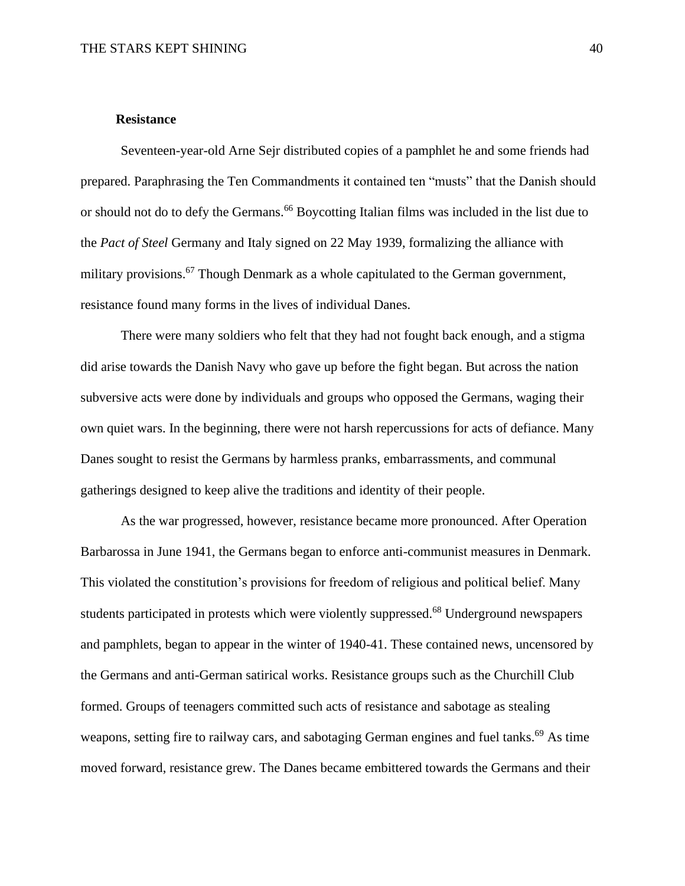## **Resistance**

Seventeen-year-old Arne Sejr distributed copies of a pamphlet he and some friends had prepared. Paraphrasing the Ten Commandments it contained ten "musts" that the Danish should or should not do to defy the Germans.<sup>66</sup> Boycotting Italian films was included in the list due to the *Pact of Steel* Germany and Italy signed on 22 May 1939, formalizing the alliance with military provisions.<sup>67</sup> Though Denmark as a whole capitulated to the German government, resistance found many forms in the lives of individual Danes.

There were many soldiers who felt that they had not fought back enough, and a stigma did arise towards the Danish Navy who gave up before the fight began. But across the nation subversive acts were done by individuals and groups who opposed the Germans, waging their own quiet wars. In the beginning, there were not harsh repercussions for acts of defiance. Many Danes sought to resist the Germans by harmless pranks, embarrassments, and communal gatherings designed to keep alive the traditions and identity of their people.

As the war progressed, however, resistance became more pronounced. After Operation Barbarossa in June 1941, the Germans began to enforce anti-communist measures in Denmark. This violated the constitution's provisions for freedom of religious and political belief. Many students participated in protests which were violently suppressed.<sup>68</sup> Underground newspapers and pamphlets, began to appear in the winter of 1940-41. These contained news, uncensored by the Germans and anti-German satirical works. Resistance groups such as the Churchill Club formed. Groups of teenagers committed such acts of resistance and sabotage as stealing weapons, setting fire to railway cars, and sabotaging German engines and fuel tanks.<sup>69</sup> As time moved forward, resistance grew. The Danes became embittered towards the Germans and their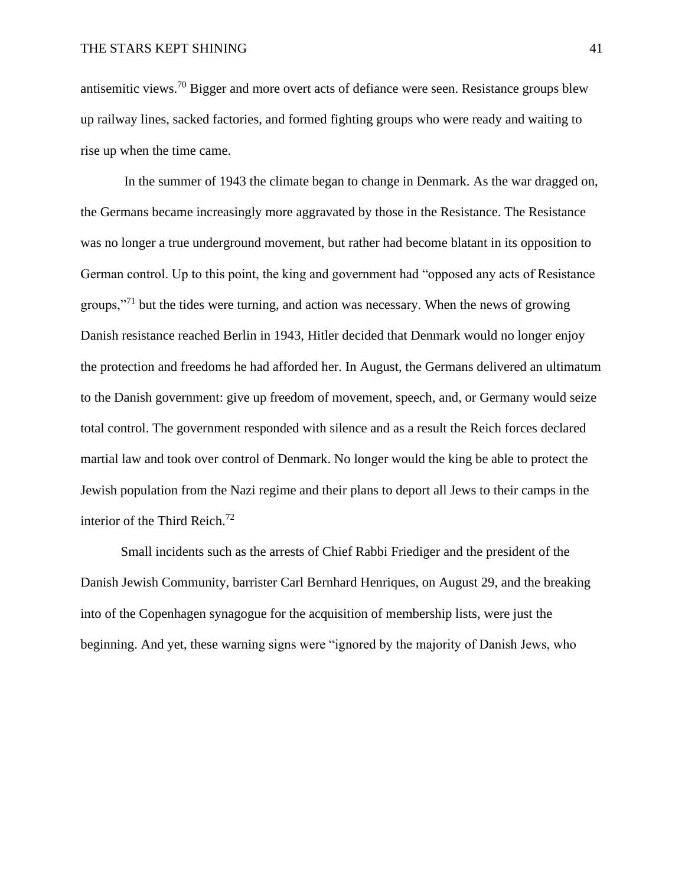antisemitic views.<sup>70</sup> Bigger and more overt acts of defiance were seen. Resistance groups blew up railway lines, sacked factories, and formed fighting groups who were ready and waiting to rise up when the time came.

In the summer of 1943 the climate began to change in Denmark. As the war dragged on, the Germans became increasingly more aggravated by those in the Resistance. The Resistance was no longer a true underground movement, but rather had become blatant in its opposition to German control. Up to this point, the king and government had "opposed any acts of Resistance groups,"<sup>71</sup> but the tides were turning, and action was necessary. When the news of growing Danish resistance reached Berlin in 1943, Hitler decided that Denmark would no longer enjoy the protection and freedoms he had afforded her. In August, the Germans delivered an ultimatum to the Danish government: give up freedom of movement, speech, and, or Germany would seize total control. The government responded with silence and as a result the Reich forces declared martial law and took over control of Denmark. No longer would the king be able to protect the Jewish population from the Nazi regime and their plans to deport all Jews to their camps in the interior of the Third Reich. 72

Small incidents such as the arrests of Chief Rabbi Friediger and the president of the Danish Jewish Community, barrister Carl Bernhard Henriques, on August 29, and the breaking into of the Copenhagen synagogue for the acquisition of membership lists, were just the beginning. And yet, these warning signs were "ignored by the majority of Danish Jews, who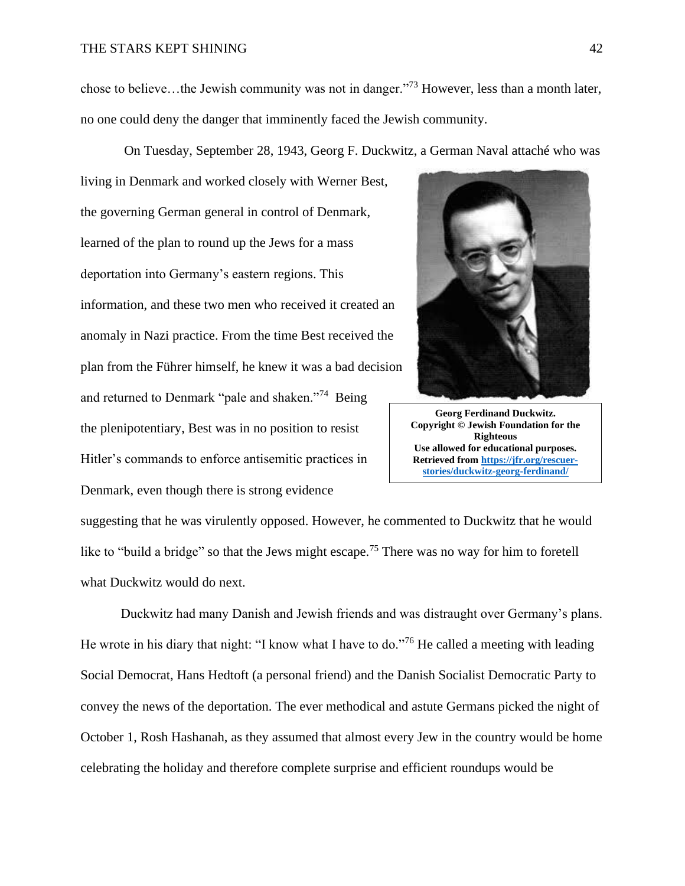## THE STARS KEPT SHINING 42

chose to believe…the Jewish community was not in danger."<sup>73</sup> However, less than a month later, no one could deny the danger that imminently faced the Jewish community.

On Tuesday, September 28, 1943, Georg F. Duckwitz, a German Naval attaché who was

living in Denmark and worked closely with Werner Best, the governing German general in control of Denmark, learned of the plan to round up the Jews for a mass deportation into Germany's eastern regions. This information, and these two men who received it created an anomaly in Nazi practice. From the time Best received the plan from the Führer himself, he knew it was a bad decision and returned to Denmark "pale and shaken."<sup>74</sup> Being the plenipotentiary, Best was in no position to resist Hitler's commands to enforce antisemitic practices in Denmark, even though there is strong evidence



**Georg Ferdinand Duckwitz. Copyright © Jewish Foundation for the Righteous Use allowed for educational purposes. Retrieved from [https://jfr.org/rescuer](https://jfr.org/rescuer-stories/duckwitz-georg-ferdinand/)[stories/duckwitz-georg-ferdinand/](https://jfr.org/rescuer-stories/duckwitz-georg-ferdinand/)**

suggesting that he was virulently opposed. However, he commented to Duckwitz that he would like to "build a bridge" so that the Jews might escape.<sup>75</sup> There was no way for him to foretell what Duckwitz would do next.

Duckwitz had many Danish and Jewish friends and was distraught over Germany's plans. He wrote in his diary that night: "I know what I have to do."<sup>76</sup> He called a meeting with leading Social Democrat, Hans Hedtoft (a personal friend) and the Danish Socialist Democratic Party to convey the news of the deportation. The ever methodical and astute Germans picked the night of October 1, Rosh Hashanah, as they assumed that almost every Jew in the country would be home celebrating the holiday and therefore complete surprise and efficient roundups would be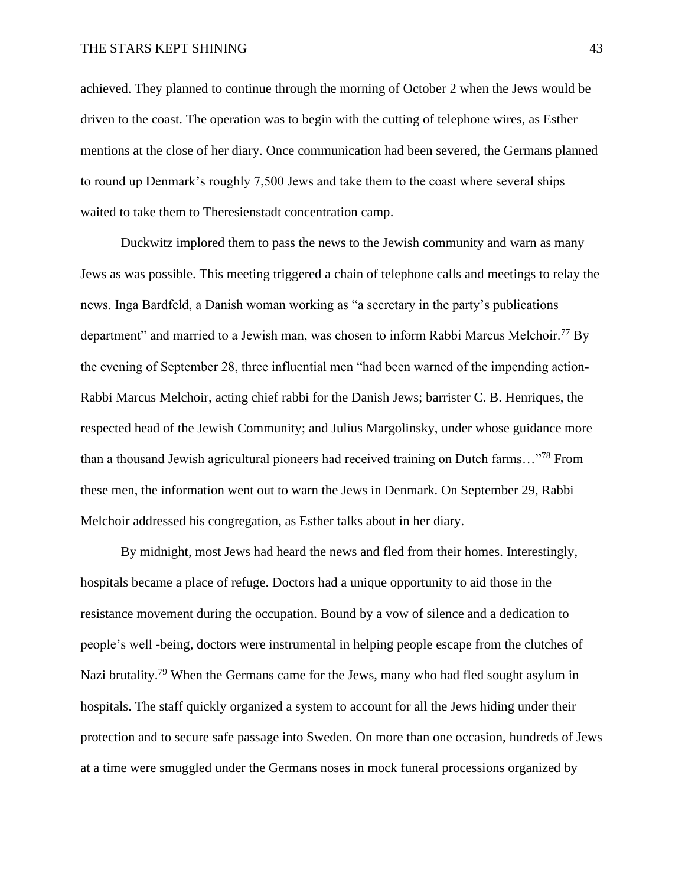## THE STARS KEPT SHINING 43

achieved. They planned to continue through the morning of October 2 when the Jews would be driven to the coast. The operation was to begin with the cutting of telephone wires, as Esther mentions at the close of her diary. Once communication had been severed, the Germans planned to round up Denmark's roughly 7,500 Jews and take them to the coast where several ships waited to take them to Theresienstadt concentration camp.

Duckwitz implored them to pass the news to the Jewish community and warn as many Jews as was possible. This meeting triggered a chain of telephone calls and meetings to relay the news. Inga Bardfeld, a Danish woman working as "a secretary in the party's publications department" and married to a Jewish man, was chosen to inform Rabbi Marcus Melchoir.<sup>77</sup> By the evening of September 28, three influential men "had been warned of the impending action-Rabbi Marcus Melchoir, acting chief rabbi for the Danish Jews; barrister C. B. Henriques, the respected head of the Jewish Community; and Julius Margolinsky, under whose guidance more than a thousand Jewish agricultural pioneers had received training on Dutch farms…"<sup>78</sup> From these men, the information went out to warn the Jews in Denmark. On September 29, Rabbi Melchoir addressed his congregation, as Esther talks about in her diary.

By midnight, most Jews had heard the news and fled from their homes. Interestingly, hospitals became a place of refuge. Doctors had a unique opportunity to aid those in the resistance movement during the occupation. Bound by a vow of silence and a dedication to people's well -being, doctors were instrumental in helping people escape from the clutches of Nazi brutality.<sup>79</sup> When the Germans came for the Jews, many who had fled sought asylum in hospitals. The staff quickly organized a system to account for all the Jews hiding under their protection and to secure safe passage into Sweden. On more than one occasion, hundreds of Jews at a time were smuggled under the Germans noses in mock funeral processions organized by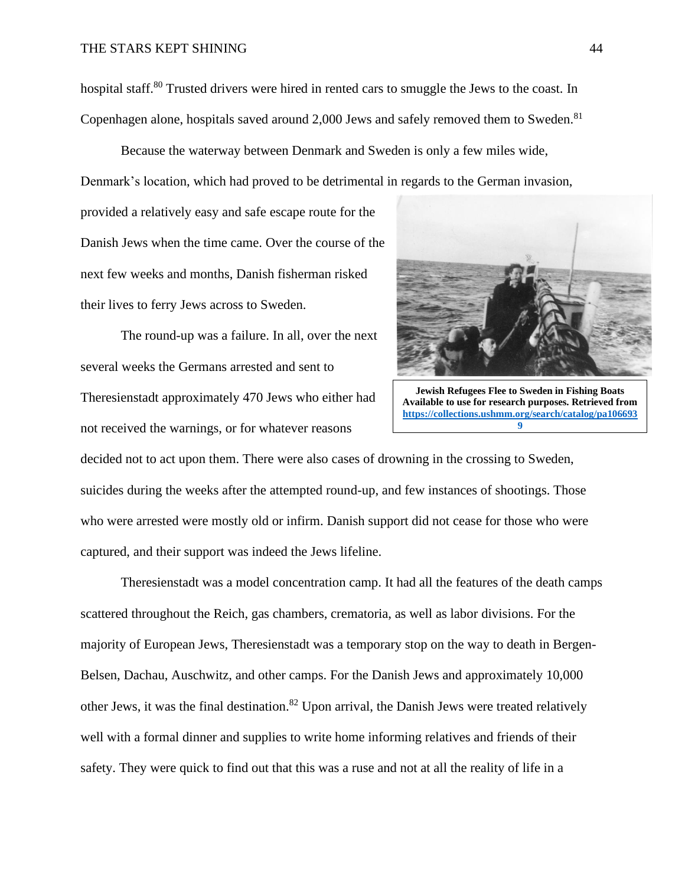hospital staff.<sup>80</sup> Trusted drivers were hired in rented cars to smuggle the Jews to the coast. In Copenhagen alone, hospitals saved around  $2,000$  Jews and safely removed them to Sweden.<sup>81</sup>

Because the waterway between Denmark and Sweden is only a few miles wide,

Denmark's location, which had proved to be detrimental in regards to the German invasion,

provided a relatively easy and safe escape route for the Danish Jews when the time came. Over the course of the next few weeks and months, Danish fisherman risked their lives to ferry Jews across to Sweden.

The round-up was a failure. In all, over the next several weeks the Germans arrested and sent to Theresienstadt approximately 470 Jews who either had not received the warnings, or for whatever reasons



**Jewish Refugees Flee to Sweden in Fishing Boats Available to use for research purposes. Retrieved from [https://collections.ushmm.org/search/catalog/pa106693](https://collections.ushmm.org/search/catalog/pa1066939) [9](https://collections.ushmm.org/search/catalog/pa1066939)**

decided not to act upon them. There were also cases of drowning in the crossing to Sweden, suicides during the weeks after the attempted round-up, and few instances of shootings. Those who were arrested were mostly old or infirm. Danish support did not cease for those who were captured, and their support was indeed the Jews lifeline.

Theresienstadt was a model concentration camp. It had all the features of the death camps scattered throughout the Reich, gas chambers, crematoria, as well as labor divisions. For the majority of European Jews, Theresienstadt was a temporary stop on the way to death in Bergen-Belsen, Dachau, Auschwitz, and other camps. For the Danish Jews and approximately 10,000 other Jews, it was the final destination.<sup>82</sup> Upon arrival, the Danish Jews were treated relatively well with a formal dinner and supplies to write home informing relatives and friends of their safety. They were quick to find out that this was a ruse and not at all the reality of life in a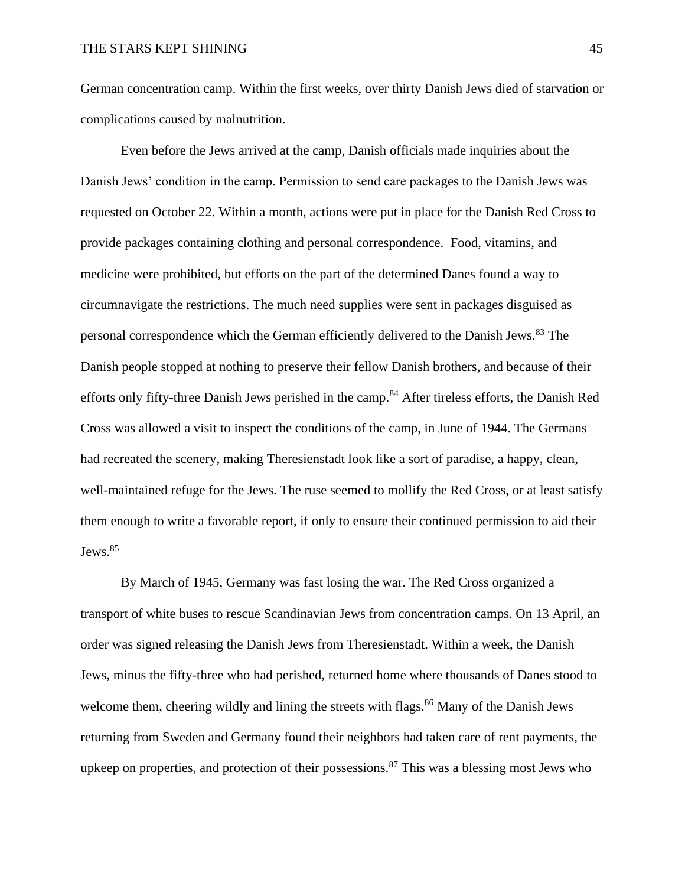German concentration camp. Within the first weeks, over thirty Danish Jews died of starvation or complications caused by malnutrition.

Even before the Jews arrived at the camp, Danish officials made inquiries about the Danish Jews' condition in the camp. Permission to send care packages to the Danish Jews was requested on October 22. Within a month, actions were put in place for the Danish Red Cross to provide packages containing clothing and personal correspondence. Food, vitamins, and medicine were prohibited, but efforts on the part of the determined Danes found a way to circumnavigate the restrictions. The much need supplies were sent in packages disguised as personal correspondence which the German efficiently delivered to the Danish Jews.<sup>83</sup> The Danish people stopped at nothing to preserve their fellow Danish brothers, and because of their efforts only fifty-three Danish Jews perished in the camp.<sup>84</sup> After tireless efforts, the Danish Red Cross was allowed a visit to inspect the conditions of the camp, in June of 1944. The Germans had recreated the scenery, making Theresienstadt look like a sort of paradise, a happy, clean, well-maintained refuge for the Jews. The ruse seemed to mollify the Red Cross, or at least satisfy them enough to write a favorable report, if only to ensure their continued permission to aid their Jews.<sup>85</sup>

By March of 1945, Germany was fast losing the war. The Red Cross organized a transport of white buses to rescue Scandinavian Jews from concentration camps. On 13 April, an order was signed releasing the Danish Jews from Theresienstadt. Within a week, the Danish Jews, minus the fifty-three who had perished, returned home where thousands of Danes stood to welcome them, cheering wildly and lining the streets with flags.<sup>86</sup> Many of the Danish Jews returning from Sweden and Germany found their neighbors had taken care of rent payments, the upkeep on properties, and protection of their possessions.<sup>87</sup> This was a blessing most Jews who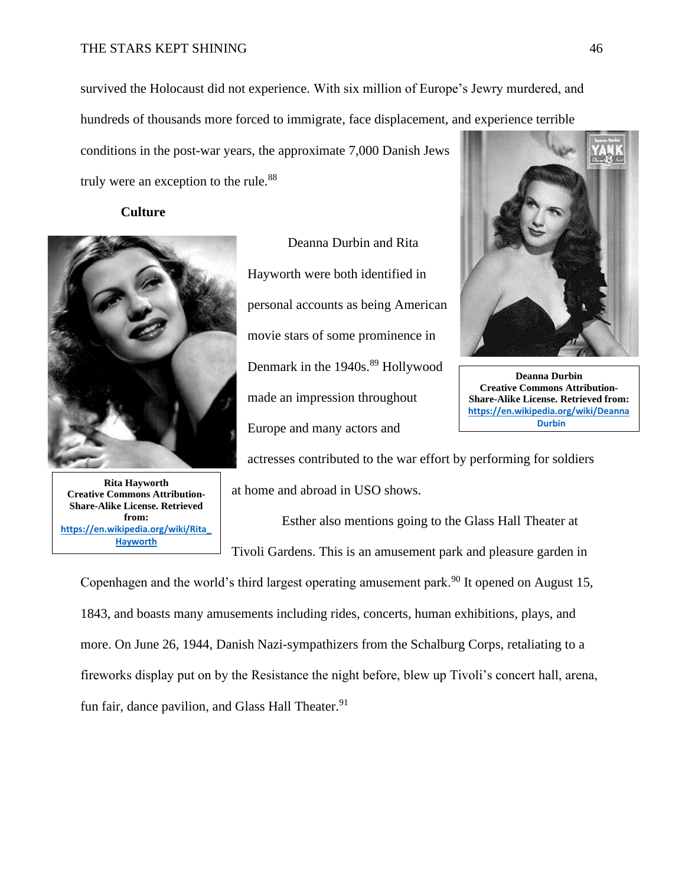## THE STARS KEPT SHINING 46

survived the Holocaust did not experience. With six million of Europe's Jewry murdered, and hundreds of thousands more forced to immigrate, face displacement, and experience terrible

conditions in the post-war years, the approximate 7,000 Danish Jews truly were an exception to the rule.<sup>88</sup>

#### **Culture**



**Rita Hayworth Creative Commons Attribution-Share-Alike License. Retrieved from: [https://en.wikipedia.org/wiki/Rita\\_](https://en.wikipedia.org/wiki/Rita_Hayworth) [Hayworth](https://en.wikipedia.org/wiki/Rita_Hayworth)**

Deanna Durbin and Rita Hayworth were both identified in personal accounts as being American movie stars of some prominence in Denmark in the 1940s.<sup>89</sup> Hollywood made an impression throughout Europe and many actors and



**Deanna Durbin Creative Commons Attribution-Share-Alike License. Retrieved from: [https://en.wikipedia.org/wiki/Deanna](https://en.wikipedia.org/wiki/Deanna_Durbin) [\\_Durbin](https://en.wikipedia.org/wiki/Deanna_Durbin)**

actresses contributed to the war effort by performing for soldiers at home and abroad in USO shows.

Esther also mentions going to the Glass Hall Theater at Tivoli Gardens. This is an amusement park and pleasure garden in

Copenhagen and the world's third largest operating amusement park.<sup>90</sup> It opened on August 15, 1843, and boasts many amusements including rides, concerts, human exhibitions, plays, and more. On June 26, 1944, Danish Nazi-sympathizers from the Schalburg Corps, retaliating to a fireworks display put on by the Resistance the night before, blew up Tivoli's concert hall, arena, fun fair, dance pavilion, and Glass Hall Theater. $91$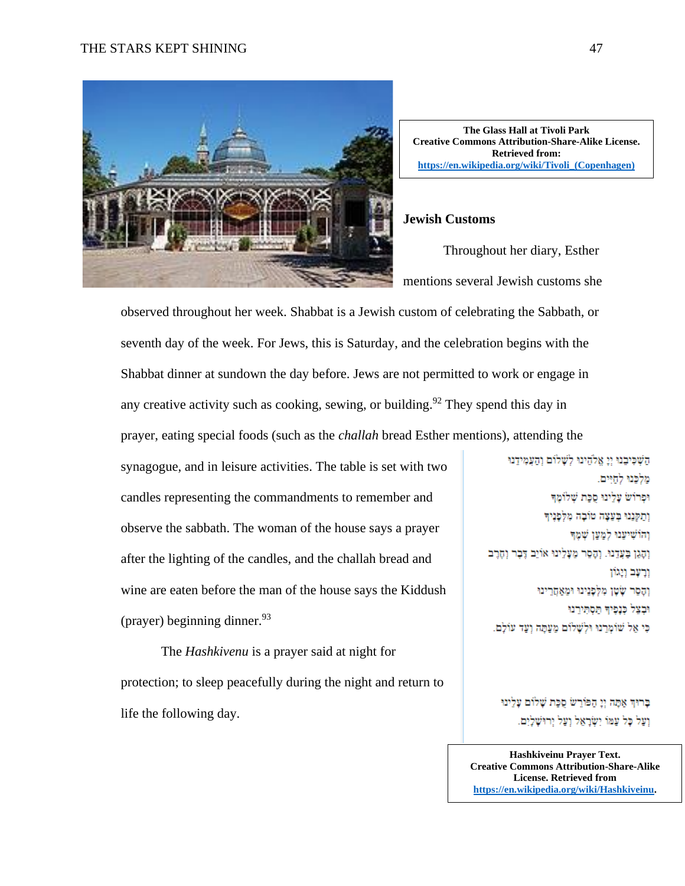## THE STARS KEPT SHINING 47



**The Glass Hall at Tivoli Park Creative Commons Attribution-Share-Alike License. Retrieved from: [https://en.wikipedia.org/wiki/Tivoli\\_\(Copenhagen\)](https://en.wikipedia.org/wiki/Tivoli_(Copenhagen))**

## **Jewish Customs**

Throughout her diary, Esther mentions several Jewish customs she

observed throughout her week. Shabbat is a Jewish custom of celebrating the Sabbath, or seventh day of the week. For Jews, this is Saturday, and the celebration begins with the Shabbat dinner at sundown the day before. Jews are not permitted to work or engage in any creative activity such as cooking, sewing, or building.<sup>92</sup> They spend this day in prayer, eating special foods (such as the *challah* bread Esther mentions), attending the

synagogue, and in leisure activities. The table is set with two candles representing the commandments to remember and observe the sabbath. The woman of the house says a prayer after the lighting of the candles, and the challah bread and wine are eaten before the man of the house says the Kiddush (prayer) beginning dinner.  $93$ 

The *Hashkivenu* is a prayer said at night for protection; to sleep peacefully during the night and return to life the following day.

השכיבנו וו אלהינו לשלום והעמידנו מלכנו לחיים. וּפְרוֹשׂ עַלְינוּ סְכַת שָׁלוֹמֶדִּ וְתַקְּנֵנוּ בְּעֲצָה טוֹבָה מִלְפָנָיךָ והרשיענו למען שמד וְהָגֵן בַּעֲדֵנוּ. וְהָסֵר מֵעָלֵינוּ אוֹיֵב דֶּבֶר וְחָרֶב ורעם ויגוו וַהָסַר שָׂטָן מִלְפָנֵינוּ וּמֵאֲחֲרֵינוּ וּבְצֵל כְּנָפִיךָ הַסְתִּירֵנוּ כִּי אֵל שׁוֹמְרַנוּ וּלְשָׁלוֹם מַעֲתָּה וְעָד עוֹלָם.

ברוף אתה וי הפורש סכת ש וַעֲל כָּל עַמּוֹ יִשְׂרָאֵל וַעֲל יִו

**Hashkiveinu Prayer Text. Creative Commons Attribution-Share-Alike License. Retrieved from [https://en.wikipedia.org/wiki/Hashkiveinu.](https://en.wikipedia.org/wiki/Hashkiveinu)**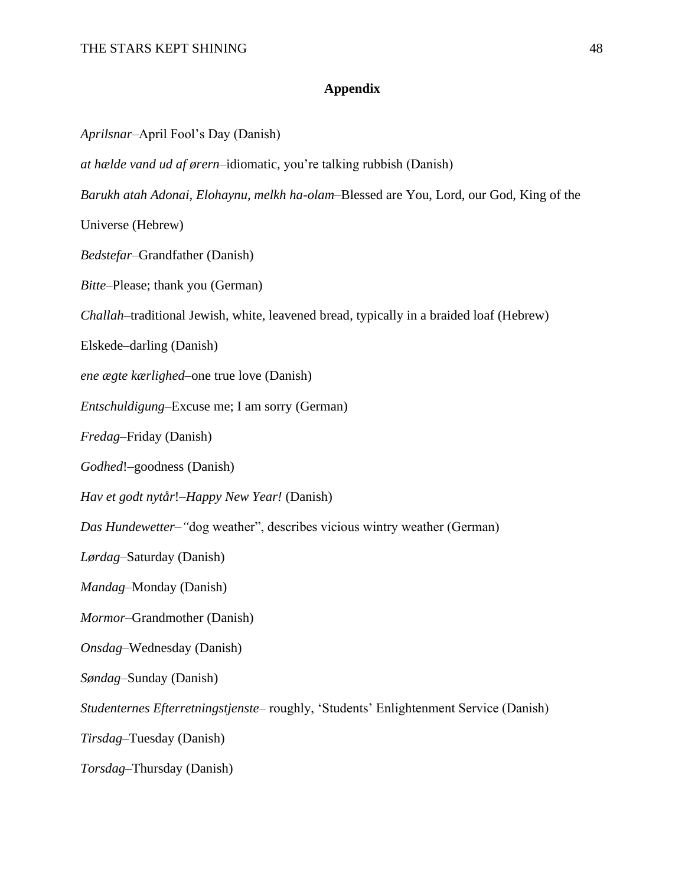## **Appendix**

*Aprilsnar*–April Fool's Day (Danish)

*at hælde vand ud af ørern*–idiomatic, you're talking rubbish (Danish)

*Barukh atah Adonai, Elohaynu, melkh ha-olam–*Blessed are You, Lord, our God, King of the

Universe (Hebrew)

*Bedstefar*–Grandfather (Danish)

*Bitte*–Please; thank you (German)

*Challah*–traditional Jewish, white, leavened bread, typically in a braided loaf (Hebrew)

Elskede–darling (Danish)

*ene ægte kærlighed*–one true love (Danish)

*Entschuldigung*–Excuse me; I am sorry (German)

*Fredag*–Friday (Danish)

*Godhed*!–goodness (Danish)

*Hav et godt nytår*!–*Happy New Year!* (Danish)

*Das Hundewetter–"*dog weather", describes vicious wintry weather (German)

*Lørdag*–Saturday (Danish)

*Mandag*–Monday (Danish)

*Mormor–*Grandmother (Danish)

*Onsdag*–Wednesday (Danish)

*Søndag*–Sunday (Danish)

*Studenternes Efterretningstjenste*– roughly, 'Students' Enlightenment Service (Danish)

*Tirsdag*–Tuesday (Danish)

*Torsdag*–Thursday (Danish)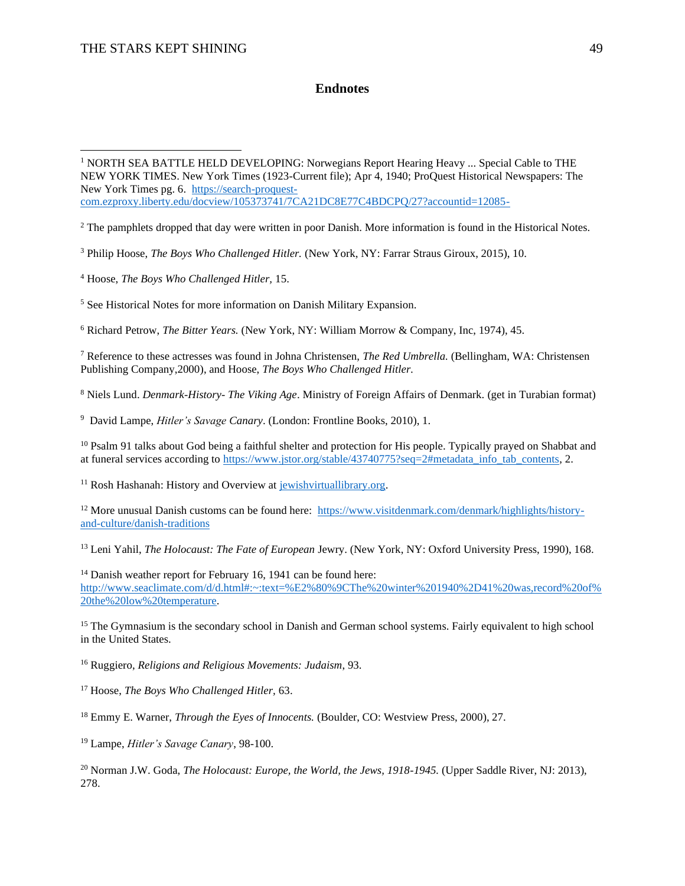## **Endnotes**

<sup>2</sup> The pamphlets dropped that day were written in poor Danish. More information is found in the Historical Notes.

<sup>3</sup> Philip Hoose, *The Boys Who Challenged Hitler.* (New York, NY: Farrar Straus Giroux, 2015), 10.

<sup>4</sup> Hoose, *The Boys Who Challenged Hitler,* 15.

<sup>5</sup> See Historical Notes for more information on Danish Military Expansion.

<sup>6</sup> Richard Petrow, *The Bitter Years.* (New York, NY: William Morrow & Company, Inc, 1974), 45.

<sup>7</sup> Reference to these actresses was found in Johna Christensen, *The Red Umbrella.* (Bellingham, WA: Christensen Publishing Company,2000), and Hoose, *The Boys Who Challenged Hitler.*

<sup>8</sup> Niels Lund. *Denmark-History- The Viking Age*. Ministry of Foreign Affairs of Denmark. (get in Turabian format)

9 David Lampe, *Hitler's Savage Canary*. (London: Frontline Books, 2010), 1.

<sup>10</sup> Psalm 91 talks about God being a faithful shelter and protection for His people. Typically prayed on Shabbat and at funeral services according to [https://www.jstor.org/stable/43740775?seq=2#metadata\\_info\\_tab\\_contents,](https://www.jstor.org/stable/43740775?seq=2#metadata_info_tab_contents) 2.

 $11$  Rosh Hashanah: History and Overview at [jewishvirtuallibrary.org.](file:///C:/Users/Larisa%20Sean/Desktop/HNRS%20Stuff/jewishvirtuallibrary.org)

<sup>12</sup> More unusual Danish customs can be found here: [https://www.visitdenmark.com/denmark/highlights/history](https://www.visitdenmark.com/denmark/highlights/history-and-culture/danish-traditions)[and-culture/danish-traditions](https://www.visitdenmark.com/denmark/highlights/history-and-culture/danish-traditions)

<sup>13</sup> Leni Yahil, *The Holocaust: The Fate of European* Jewry. (New York, NY: Oxford University Press, 1990), 168.

<sup>14</sup> Danish weather report for February 16, 1941 can be found here: [http://www.seaclimate.com/d/d.html#:~:text=%E2%80%9CThe%20winter%201940%2D41%20was,record%20of%](http://www.seaclimate.com/d/d.html#:~:text=%E2%80%9CThe%20winter%201940%2D41%20was,record%20of%20the%20low%20temperature) [20the%20low%20temperature.](http://www.seaclimate.com/d/d.html#:~:text=%E2%80%9CThe%20winter%201940%2D41%20was,record%20of%20the%20low%20temperature)

<sup>15</sup> The Gymnasium is the secondary school in Danish and German school systems. Fairly equivalent to high school in the United States.

<sup>16</sup> Ruggiero, *Religions and Religious Movements: Judaism*, 93.

<sup>17</sup> Hoose, *The Boys Who Challenged Hitler,* 63.

<sup>18</sup> Emmy E. Warner, *Through the Eyes of Innocents.* (Boulder, CO: Westview Press, 2000), 27.

<sup>19</sup> Lampe, *Hitler's Savage Canary*, 98-100.

<sup>20</sup> Norman J.W. Goda, *The Holocaust: Europe, the World, the Jews, 1918-1945*. (Upper Saddle River, NJ: 2013), 278.

<sup>&</sup>lt;sup>1</sup> NORTH SEA BATTLE HELD DEVELOPING: Norwegians Report Hearing Heavy ... Special Cable to THE NEW YORK TIMES. New York Times (1923-Current file); Apr 4, 1940; ProQuest Historical Newspapers: The New York Times pg. 6. [https://search-proquest](https://search-proquest-com.ezproxy.liberty.edu/docview/105373741/7CA21DC8E77C4BDCPQ/27?accountid=12085-)[com.ezproxy.liberty.edu/docview/105373741/7CA21DC8E77C4BDCPQ/27?accountid=12085-](https://search-proquest-com.ezproxy.liberty.edu/docview/105373741/7CA21DC8E77C4BDCPQ/27?accountid=12085-)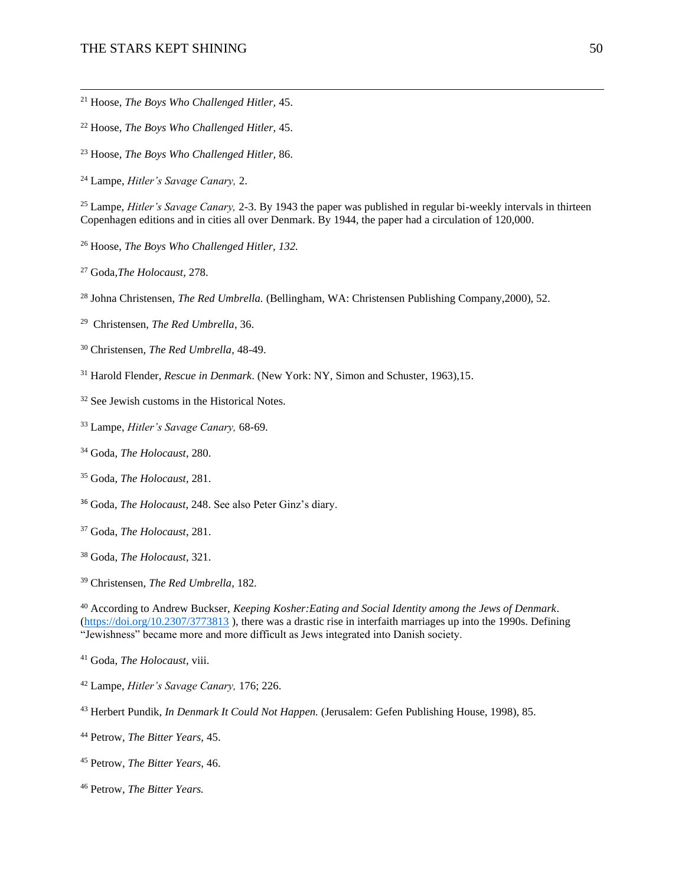## THE STARS KEPT SHINING 50

- Hoose, *The Boys Who Challenged Hitler,* 45.
- Hoose, *The Boys Who Challenged Hitler,* 45.
- Hoose, *The Boys Who Challenged Hitler,* 86.
- Lampe, *Hitler's Savage Canary,* 2.

 Lampe, *Hitler's Savage Canary,* 2-3. By 1943 the paper was published in regular bi-weekly intervals in thirteen Copenhagen editions and in cities all over Denmark. By 1944, the paper had a circulation of 120,000.

- Hoose, *The Boys Who Challenged Hitler, 132.*
- Goda,*The Holocaust*, 278.
- Johna Christensen, *The Red Umbrella.* (Bellingham, WA: Christensen Publishing Company,2000), 52.

Christensen, *The Red Umbrella*, 36.

- Christensen, *The Red Umbrella*, 48-49.
- Harold Flender, *Rescue in Denmark*. (New York: NY, Simon and Schuster, 1963),15.
- <sup>32</sup> See Jewish customs in the Historical Notes.
- Lampe, *Hitler's Savage Canary,* 68-69.
- Goda, *The Holocaust*, 280.
- Goda, *The Holocaust*, 281.
- Goda, *The Holocaust*, 248. See also Peter Ginz's diary.
- Goda, *The Holocaust*, 281.
- Goda, *The Holocaust*, 321.
- Christensen, *The Red Umbrella*, 182.

 According to Andrew Buckser, *Keeping Kosher:Eating and Social Identity among the Jews of Denmark*. [\(https://doi.org/10.2307/3773813](https://doi.org/10.2307/3773813) ), there was a drastic rise in interfaith marriages up into the 1990s. Defining "Jewishness" became more and more difficult as Jews integrated into Danish society.

Goda, *The Holocaust*, viii.

- Lampe, *Hitler's Savage Canary,* 176; 226.
- Herbert Pundik, *In Denmark It Could Not Happen.* (Jerusalem: Gefen Publishing House, 1998), 85.
- Petrow, *The Bitter Years,* 45.
- Petrow, *The Bitter Years*, 46.
- Petrow, *The Bitter Years.*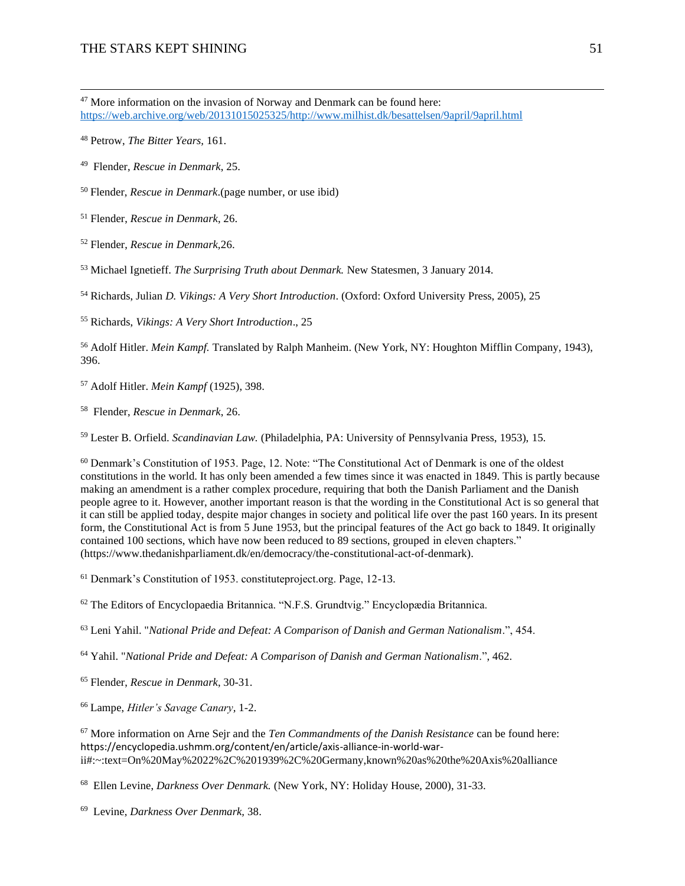More information on the invasion of Norway and Denmark can be found here: [https://web.archive.org/web/20131015025325/http://www.milhist.dk/besattelsen/9april/9april.html](https://web.archive.org/web/20131015025325/http:/www.milhist.dk/besattelsen/9april/9april.html)

Petrow, *The Bitter Years,* 161.

Flender, *Rescue in Denmark*, 25.

Flender, *Rescue in Denmark*.(page number, or use ibid)

Flender, *Rescue in Denmark*, 26.

Flender, *Rescue in Denmark,*26.

Michael Ignetieff. *The Surprising Truth about Denmark.* New Statesmen, 3 January 2014.

Richards, Julian *D. Vikings: A Very Short Introduction*. (Oxford: Oxford University Press, 2005), 25

Richards, *Vikings: A Very Short Introduction*., 25

 Adolf Hitler. *Mein Kampf.* Translated by Ralph Manheim. (New York, NY: Houghton Mifflin Company, 1943), 396.

Adolf Hitler. *Mein Kampf* (1925), 398.

Flender, *Rescue in Denmark*, 26.

Lester B. Orfield. *Scandinavian Law.* (Philadelphia, PA: University of Pennsylvania Press, 1953), 15.

 Denmark's Constitution of 1953. Page, 12. Note: "The Constitutional Act of Denmark is one of the oldest constitutions in the world. It has only been amended a few times since it was enacted in 1849. This is partly because making an amendment is a rather complex procedure, requiring that both the Danish Parliament and the Danish people agree to it. However, another important reason is that the wording in the Constitutional Act is so general that it can still be applied today, despite major changes in society and political life over the past 160 years. In its present form, the Constitutional Act is from 5 June 1953, but the principal features of the Act go back to 1849. It originally contained 100 sections, which have now been reduced to 89 sections, grouped in eleven chapters." (https://www.thedanishparliament.dk/en/democracy/the-constitutional-act-of-denmark).

Denmark's Constitution of 1953. constituteproject.org. Page, 12-13.

The Editors of Encyclopaedia Britannica. "N.F.S. Grundtvig." Encyclopædia Britannica.

Leni Yahil. "*National Pride and Defeat: A Comparison of Danish and German Nationalism*.", 454.

Yahil. "*National Pride and Defeat: A Comparison of Danish and German Nationalism*.", 462.

Flender, *Rescue in Denmark*, 30-31.

Lampe, *Hitler's Savage Canary,* 1-2.

 More information on Arne Sejr and the *Ten Commandments of the Danish Resistance* can be found here: https://encyclopedia.ushmm.org/content/en/article/axis-alliance-in-world-warii#:~:text=On%20May%2022%2C%201939%2C%20Germany,known%20as%20the%20Axis%20alliance

Ellen Levine, *Darkness Over Denmark.* (New York, NY: Holiday House, 2000), 31-33.

Levine, *Darkness Over Denmark,* 38.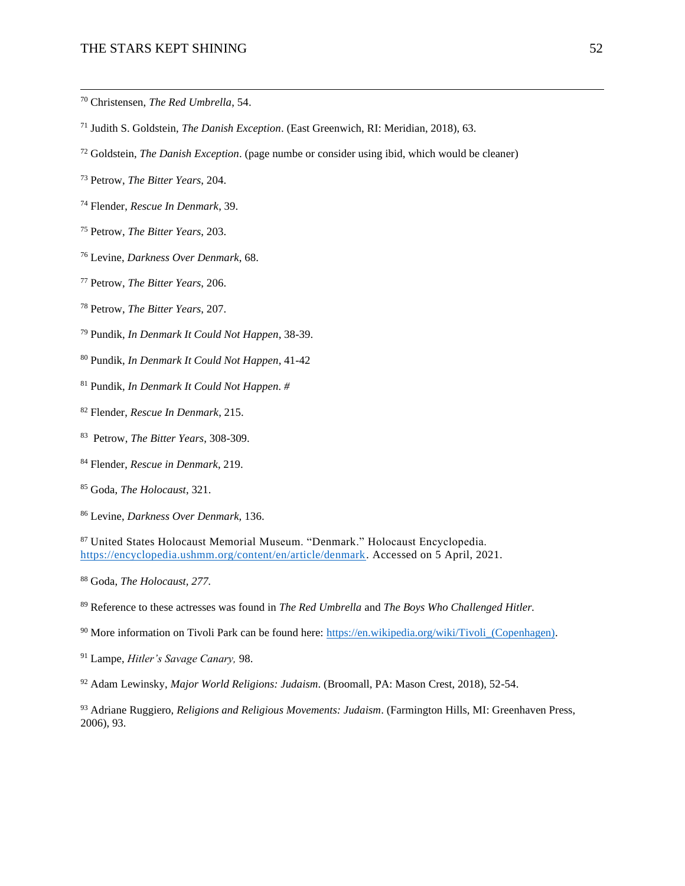#### THE STARS KEPT SHINING 52

- Christensen, *The Red Umbrella*, 54.
- Judith S. Goldstein, *The Danish Exception*. (East Greenwich, RI: Meridian, 2018), 63.
- Goldstein, *The Danish Exception*. (page numbe or consider using ibid, which would be cleaner)
- Petrow, *The Bitter Years*, 204.
- Flender, *Rescue In Denmark*, 39.
- Petrow, *The Bitter Years*, 203.
- Levine, *Darkness Over Denmark*, 68.
- Petrow, *The Bitter Years*, 206.
- Petrow, *The Bitter Years*, 207.
- Pundik, *In Denmark It Could Not Happen*, 38-39.
- Pundik, *In Denmark It Could Not Happen*, 41-42
- Pundik, *In Denmark It Could Not Happen. #*
- Flender, *Rescue In Denmark*, 215.
- Petrow, *The Bitter Years*, 308-309.
- Flender, *Rescue in Denmark*, 219.
- Goda, *The Holocaust*, 321.
- Levine, *Darkness Over Denmark,* 136.

 United States Holocaust Memorial Museum. "Denmark." Holocaust Encyclopedia. [https://encyclopedia.ushmm.org/content/en/article/denmark.](https://encyclopedia.ushmm.org/content/en/article/denmark) Accessed on 5 April, 2021.

Goda, *The Holocaust, 277.*

- Reference to these actresses was found in *The Red Umbrella* and *The Boys Who Challenged Hitler.*
- <sup>90</sup> More information on Tivoli Park can be found here: https://en.wikipedia.org/wiki/Tivoli (Copenhagen).
- Lampe, *Hitler's Savage Canary,* 98.
- Adam Lewinsky, *Major World Religions: Judaism*. (Broomall, PA: Mason Crest, 2018), 52-54.

 Adriane Ruggiero, *Religions and Religious Movements: Judaism*. (Farmington Hills, MI: Greenhaven Press, 2006), 93.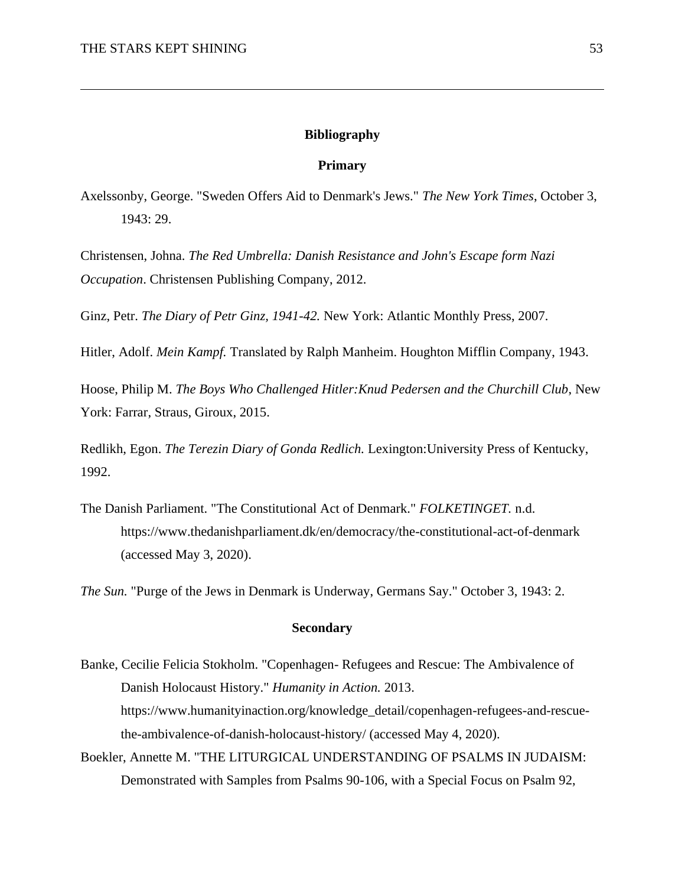## **Bibliography**

## **Primary**

Axelssonby, George. "Sweden Offers Aid to Denmark's Jews." *The New York Times*, October 3, 1943: 29.

Christensen, Johna. *The Red Umbrella: Danish Resistance and John's Escape form Nazi Occupation*. Christensen Publishing Company, 2012.

Ginz, Petr. *The Diary of Petr Ginz, 1941-42.* New York: Atlantic Monthly Press, 2007.

Hitler, Adolf. *Mein Kampf.* Translated by Ralph Manheim. Houghton Mifflin Company, 1943.

Hoose, Philip M. *The Boys Who Challenged Hitler:Knud Pedersen and the Churchill Club*, New York: Farrar, Straus, Giroux, 2015.

Redlikh, Egon. *The Terezin Diary of Gonda Redlich.* Lexington:University Press of Kentucky, 1992.

The Danish Parliament. "The Constitutional Act of Denmark." *FOLKETINGET.* n.d. https://www.thedanishparliament.dk/en/democracy/the-constitutional-act-of-denmark (accessed May 3, 2020).

*The Sun.* "Purge of the Jews in Denmark is Underway, Germans Say." October 3, 1943: 2.

## **Secondary**

Banke, Cecilie Felicia Stokholm. "Copenhagen- Refugees and Rescue: The Ambivalence of Danish Holocaust History." *Humanity in Action.* 2013. https://www.humanityinaction.org/knowledge\_detail/copenhagen-refugees-and-rescuethe-ambivalence-of-danish-holocaust-history/ (accessed May 4, 2020).

Boekler, Annette M. "THE LITURGICAL UNDERSTANDING OF PSALMS IN JUDAISM: Demonstrated with Samples from Psalms 90-106, with a Special Focus on Psalm 92,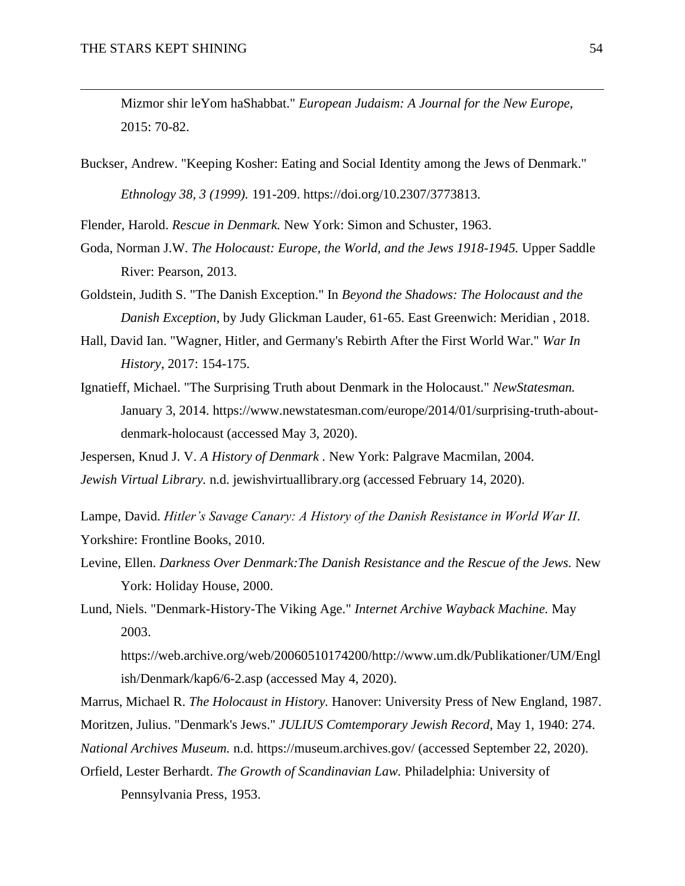Mizmor shir leYom haShabbat." *European Judaism: A Journal for the New Europe*, 2015: 70-82.

Buckser, Andrew. "Keeping Kosher: Eating and Social Identity among the Jews of Denmark." *Ethnology 38, 3 (1999).* 191-209. https://doi.org/10.2307/3773813.

Flender, Harold. *Rescue in Denmark.* New York: Simon and Schuster, 1963.

- Goda, Norman J.W. *The Holocaust: Europe, the World, and the Jews 1918-1945.* Upper Saddle River: Pearson, 2013.
- Goldstein, Judith S. "The Danish Exception." In *Beyond the Shadows: The Holocaust and the Danish Exception*, by Judy Glickman Lauder, 61-65. East Greenwich: Meridian , 2018.
- Hall, David Ian. "Wagner, Hitler, and Germany's Rebirth After the First World War." *War In History*, 2017: 154-175.
- Ignatieff, Michael. "The Surprising Truth about Denmark in the Holocaust." *NewStatesman.* January 3, 2014. https://www.newstatesman.com/europe/2014/01/surprising-truth-aboutdenmark-holocaust (accessed May 3, 2020).
- Jespersen, Knud J. V. *A History of Denmark .* New York: Palgrave Macmilan, 2004. *Jewish Virtual Library.* n.d. jewishvirtuallibrary.org (accessed February 14, 2020).
- Lampe, David. *Hitler's Savage Canary: A History of the Danish Resistance in World War II*. Yorkshire: Frontline Books, 2010.
- Levine, Ellen. *Darkness Over Denmark:The Danish Resistance and the Rescue of the Jews.* New York: Holiday House, 2000.

Lund, Niels. "Denmark-History-The Viking Age." *Internet Archive Wayback Machine.* May 2003.

https://web.archive.org/web/20060510174200/http://www.um.dk/Publikationer/UM/Engl ish/Denmark/kap6/6-2.asp (accessed May 4, 2020).

Marrus, Michael R. *The Holocaust in History.* Hanover: University Press of New England, 1987.

Moritzen, Julius. "Denmark's Jews." *JULIUS Comtemporary Jewish Record*, May 1, 1940: 274.

*National Archives Museum.* n.d. https://museum.archives.gov/ (accessed September 22, 2020).

Orfield, Lester Berhardt. *The Growth of Scandinavian Law.* Philadelphia: University of Pennsylvania Press, 1953.